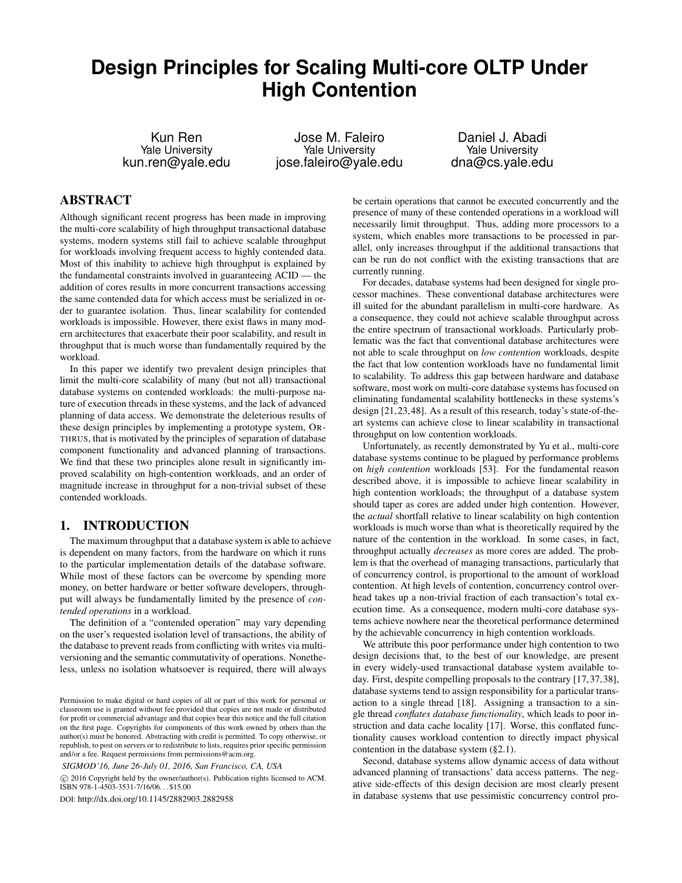# **Design Principles for Scaling Multi-core OLTP Under High Contention**

Kun Ren Yale University kun.ren@yale.edu

Jose M. Faleiro Yale University jose.faleiro@yale.edu

Daniel J. Abadi Yale University dna@cs.yale.edu

# ABSTRACT

Although significant recent progress has been made in improving the multi-core scalability of high throughput transactional database systems, modern systems still fail to achieve scalable throughput for workloads involving frequent access to highly contended data. Most of this inability to achieve high throughput is explained by the fundamental constraints involved in guaranteeing ACID — the addition of cores results in more concurrent transactions accessing the same contended data for which access must be serialized in order to guarantee isolation. Thus, linear scalability for contended workloads is impossible. However, there exist flaws in many modern architectures that exacerbate their poor scalability, and result in throughput that is much worse than fundamentally required by the workload.

In this paper we identify two prevalent design principles that limit the multi-core scalability of many (but not all) transactional database systems on contended workloads: the multi-purpose nature of execution threads in these systems, and the lack of advanced planning of data access. We demonstrate the deleterious results of these design principles by implementing a prototype system, OR-THRUS, that is motivated by the principles of separation of database component functionality and advanced planning of transactions. We find that these two principles alone result in significantly improved scalability on high-contention workloads, and an order of magnitude increase in throughput for a non-trivial subset of these contended workloads.

#### 1. INTRODUCTION

The maximum throughput that a database system is able to achieve is dependent on many factors, from the hardware on which it runs to the particular implementation details of the database software. While most of these factors can be overcome by spending more money, on better hardware or better software developers, throughput will always be fundamentally limited by the presence of *contended operations* in a workload.

The definition of a "contended operation" may vary depending on the user's requested isolation level of transactions, the ability of the database to prevent reads from conflicting with writes via multiversioning and the semantic commutativity of operations. Nonetheless, unless no isolation whatsoever is required, there will always

*SIGMOD'16, June 26-July 01, 2016, San Francisco, CA, USA*

 c 2016 Copyright held by the owner/author(s). Publication rights licensed to ACM. ISBN 978-1-4503-3531-7/16/06. . . \$15.00

DOI: http://dx.doi.org/10.1145/2882903.2882958

be certain operations that cannot be executed concurrently and the presence of many of these contended operations in a workload will necessarily limit throughput. Thus, adding more processors to a system, which enables more transactions to be processed in parallel, only increases throughput if the additional transactions that can be run do not conflict with the existing transactions that are currently running.

For decades, database systems had been designed for single processor machines. These conventional database architectures were ill suited for the abundant parallelism in multi-core hardware. As a consequence, they could not achieve scalable throughput across the entire spectrum of transactional workloads. Particularly problematic was the fact that conventional database architectures were not able to scale throughput on *low contention* workloads, despite the fact that low contention workloads have no fundamental limit to scalability. To address this gap between hardware and database software, most work on multi-core database systems has focused on eliminating fundamental scalability bottlenecks in these systems's design [21,23,48]. As a result of this research, today's state-of-theart systems can achieve close to linear scalability in transactional throughput on low contention workloads.

Unfortunately, as recently demonstrated by Yu et al., multi-core database systems continue to be plagued by performance problems on *high contention* workloads [53]. For the fundamental reason described above, it is impossible to achieve linear scalability in high contention workloads; the throughput of a database system should taper as cores are added under high contention. However, the *actual* shortfall relative to linear scalability on high contention workloads is much worse than what is theoretically required by the nature of the contention in the workload. In some cases, in fact, throughput actually *decreases* as more cores are added. The problem is that the overhead of managing transactions, particularly that of concurrency control, is proportional to the amount of workload contention. At high levels of contention, concurrency control overhead takes up a non-trivial fraction of each transaction's total execution time. As a consequence, modern multi-core database systems achieve nowhere near the theoretical performance determined by the achievable concurrency in high contention workloads.

We attribute this poor performance under high contention to two design decisions that, to the best of our knowledge, are present in every widely-used transactional database system available today. First, despite compelling proposals to the contrary [17,37,38], database systems tend to assign responsibility for a particular transaction to a single thread [18]. Assigning a transaction to a single thread *conflates database functionality*, which leads to poor instruction and data cache locality [17]. Worse, this conflated functionality causes workload contention to directly impact physical contention in the database system (§2.1).

Second, database systems allow dynamic access of data without advanced planning of transactions' data access patterns. The negative side-effects of this design decision are most clearly present in database systems that use pessimistic concurrency control pro-

Permission to make digital or hard copies of all or part of this work for personal or classroom use is granted without fee provided that copies are not made or distributed for profit or commercial advantage and that copies bear this notice and the full citation on the first page. Copyrights for components of this work owned by others than the author(s) must be honored. Abstracting with credit is permitted. To copy otherwise, or republish, to post on servers or to redistribute to lists, requires prior specific permission and/or a fee. Request permissions from permissions@acm.org.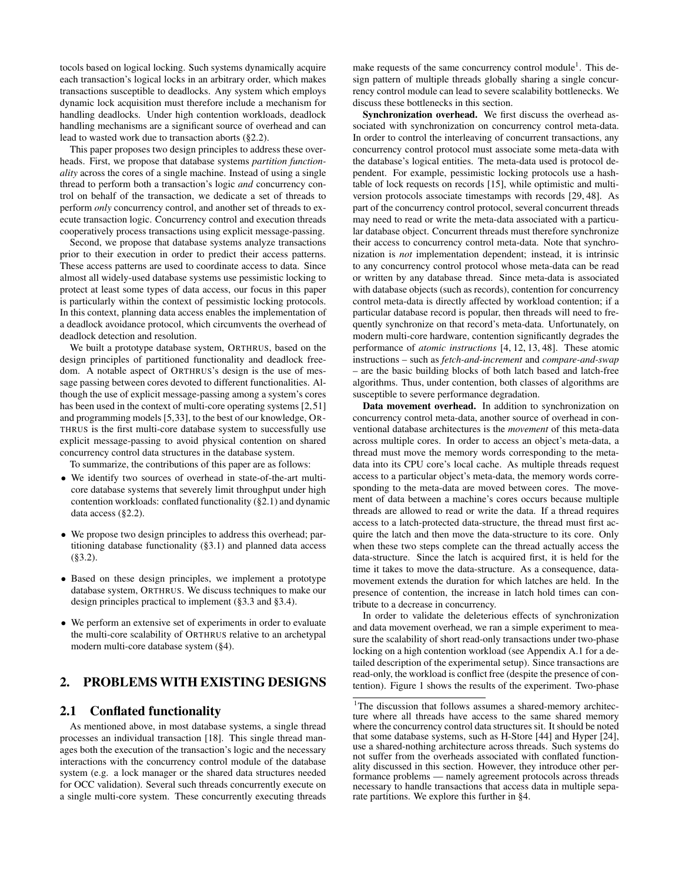tocols based on logical locking. Such systems dynamically acquire each transaction's logical locks in an arbitrary order, which makes transactions susceptible to deadlocks. Any system which employs dynamic lock acquisition must therefore include a mechanism for handling deadlocks. Under high contention workloads, deadlock handling mechanisms are a significant source of overhead and can lead to wasted work due to transaction aborts (§2.2).

This paper proposes two design principles to address these overheads. First, we propose that database systems *partition functionality* across the cores of a single machine. Instead of using a single thread to perform both a transaction's logic *and* concurrency control on behalf of the transaction, we dedicate a set of threads to perform *only* concurrency control, and another set of threads to execute transaction logic. Concurrency control and execution threads cooperatively process transactions using explicit message-passing.

Second, we propose that database systems analyze transactions prior to their execution in order to predict their access patterns. These access patterns are used to coordinate access to data. Since almost all widely-used database systems use pessimistic locking to protect at least some types of data access, our focus in this paper is particularly within the context of pessimistic locking protocols. In this context, planning data access enables the implementation of a deadlock avoidance protocol, which circumvents the overhead of deadlock detection and resolution.

We built a prototype database system, ORTHRUS, based on the design principles of partitioned functionality and deadlock freedom. A notable aspect of ORTHRUS's design is the use of message passing between cores devoted to different functionalities. Although the use of explicit message-passing among a system's cores has been used in the context of multi-core operating systems [2,51] and programming models [5,33], to the best of our knowledge, OR-THRUS is the first multi-core database system to successfully use explicit message-passing to avoid physical contention on shared concurrency control data structures in the database system.

To summarize, the contributions of this paper are as follows:

- We identify two sources of overhead in state-of-the-art multicore database systems that severely limit throughput under high contention workloads: conflated functionality (§2.1) and dynamic data access (§2.2).
- We propose two design principles to address this overhead; partitioning database functionality (§3.1) and planned data access (§3.2).
- Based on these design principles, we implement a prototype database system, ORTHRUS. We discuss techniques to make our design principles practical to implement (§3.3 and §3.4).
- We perform an extensive set of experiments in order to evaluate the multi-core scalability of ORTHRUS relative to an archetypal modern multi-core database system (§4).

# 2. PROBLEMS WITH EXISTING DESIGNS

#### 2.1 Conflated functionality

As mentioned above, in most database systems, a single thread processes an individual transaction [18]. This single thread manages both the execution of the transaction's logic and the necessary interactions with the concurrency control module of the database system (e.g. a lock manager or the shared data structures needed for OCC validation). Several such threads concurrently execute on a single multi-core system. These concurrently executing threads

make requests of the same concurrency control module<sup>1</sup>. This design pattern of multiple threads globally sharing a single concurrency control module can lead to severe scalability bottlenecks. We discuss these bottlenecks in this section.

Synchronization overhead. We first discuss the overhead associated with synchronization on concurrency control meta-data. In order to control the interleaving of concurrent transactions, any concurrency control protocol must associate some meta-data with the database's logical entities. The meta-data used is protocol dependent. For example, pessimistic locking protocols use a hashtable of lock requests on records [15], while optimistic and multiversion protocols associate timestamps with records [29, 48]. As part of the concurrency control protocol, several concurrent threads may need to read or write the meta-data associated with a particular database object. Concurrent threads must therefore synchronize their access to concurrency control meta-data. Note that synchronization is *not* implementation dependent; instead, it is intrinsic to any concurrency control protocol whose meta-data can be read or written by any database thread. Since meta-data is associated with database objects (such as records), contention for concurrency control meta-data is directly affected by workload contention; if a particular database record is popular, then threads will need to frequently synchronize on that record's meta-data. Unfortunately, on modern multi-core hardware, contention significantly degrades the performance of *atomic instructions* [4, 12, 13, 48]. These atomic instructions – such as *fetch-and-increment* and *compare-and-swap* – are the basic building blocks of both latch based and latch-free algorithms. Thus, under contention, both classes of algorithms are susceptible to severe performance degradation.

Data movement overhead. In addition to synchronization on concurrency control meta-data, another source of overhead in conventional database architectures is the *movement* of this meta-data across multiple cores. In order to access an object's meta-data, a thread must move the memory words corresponding to the metadata into its CPU core's local cache. As multiple threads request access to a particular object's meta-data, the memory words corresponding to the meta-data are moved between cores. The movement of data between a machine's cores occurs because multiple threads are allowed to read or write the data. If a thread requires access to a latch-protected data-structure, the thread must first acquire the latch and then move the data-structure to its core. Only when these two steps complete can the thread actually access the data-structure. Since the latch is acquired first, it is held for the time it takes to move the data-structure. As a consequence, datamovement extends the duration for which latches are held. In the presence of contention, the increase in latch hold times can contribute to a decrease in concurrency.

In order to validate the deleterious effects of synchronization and data movement overhead, we ran a simple experiment to measure the scalability of short read-only transactions under two-phase locking on a high contention workload (see Appendix A.1 for a detailed description of the experimental setup). Since transactions are read-only, the workload is conflict free (despite the presence of contention). Figure 1 shows the results of the experiment. Two-phase

<sup>&</sup>lt;sup>1</sup>The discussion that follows assumes a shared-memory architecture where all threads have access to the same shared memory where the concurrency control data structures sit. It should be noted that some database systems, such as H-Store [44] and Hyper [24], use a shared-nothing architecture across threads. Such systems do not suffer from the overheads associated with conflated functionality discussed in this section. However, they introduce other performance problems — namely agreement protocols across threads necessary to handle transactions that access data in multiple separate partitions. We explore this further in §4.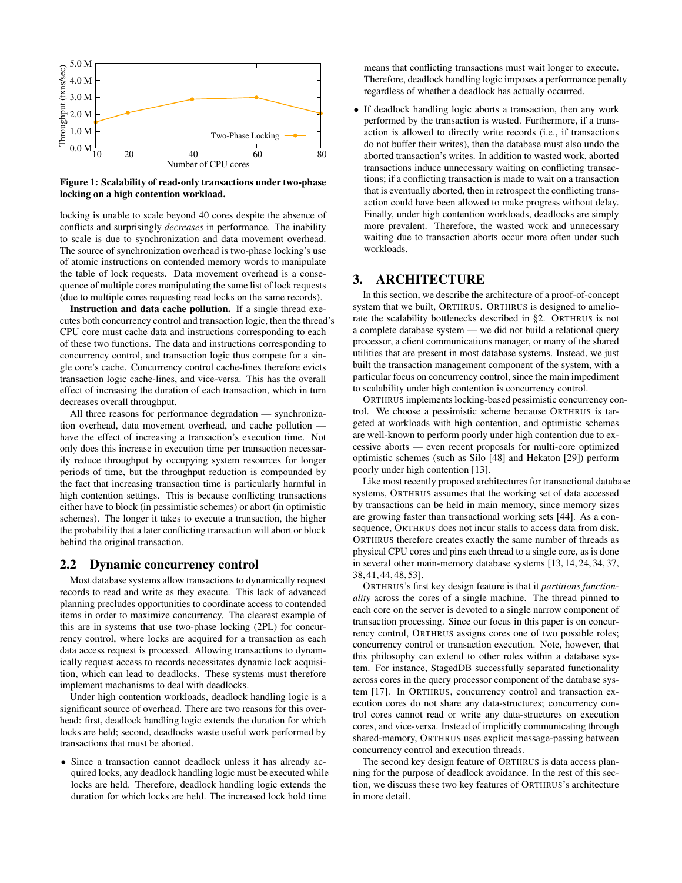

Figure 1: Scalability of read-only transactions under two-phase locking on a high contention workload.

locking is unable to scale beyond 40 cores despite the absence of conflicts and surprisingly *decreases* in performance. The inability to scale is due to synchronization and data movement overhead. The source of synchronization overhead is two-phase locking's use of atomic instructions on contended memory words to manipulate the table of lock requests. Data movement overhead is a consequence of multiple cores manipulating the same list of lock requests (due to multiple cores requesting read locks on the same records).

Instruction and data cache pollution. If a single thread executes both concurrency control and transaction logic, then the thread's CPU core must cache data and instructions corresponding to each of these two functions. The data and instructions corresponding to concurrency control, and transaction logic thus compete for a single core's cache. Concurrency control cache-lines therefore evicts transaction logic cache-lines, and vice-versa. This has the overall effect of increasing the duration of each transaction, which in turn decreases overall throughput.

All three reasons for performance degradation — synchronization overhead, data movement overhead, and cache pollution have the effect of increasing a transaction's execution time. Not only does this increase in execution time per transaction necessarily reduce throughput by occupying system resources for longer periods of time, but the throughput reduction is compounded by the fact that increasing transaction time is particularly harmful in high contention settings. This is because conflicting transactions either have to block (in pessimistic schemes) or abort (in optimistic schemes). The longer it takes to execute a transaction, the higher the probability that a later conflicting transaction will abort or block behind the original transaction.

#### 2.2 Dynamic concurrency control

Most database systems allow transactions to dynamically request records to read and write as they execute. This lack of advanced planning precludes opportunities to coordinate access to contended items in order to maximize concurrency. The clearest example of this are in systems that use two-phase locking (2PL) for concurrency control, where locks are acquired for a transaction as each data access request is processed. Allowing transactions to dynamically request access to records necessitates dynamic lock acquisition, which can lead to deadlocks. These systems must therefore implement mechanisms to deal with deadlocks.

Under high contention workloads, deadlock handling logic is a significant source of overhead. There are two reasons for this overhead: first, deadlock handling logic extends the duration for which locks are held; second, deadlocks waste useful work performed by transactions that must be aborted.

• Since a transaction cannot deadlock unless it has already acquired locks, any deadlock handling logic must be executed while locks are held. Therefore, deadlock handling logic extends the duration for which locks are held. The increased lock hold time

means that conflicting transactions must wait longer to execute. Therefore, deadlock handling logic imposes a performance penalty regardless of whether a deadlock has actually occurred.

If deadlock handling logic aborts a transaction, then any work performed by the transaction is wasted. Furthermore, if a transaction is allowed to directly write records (i.e., if transactions do not buffer their writes), then the database must also undo the aborted transaction's writes. In addition to wasted work, aborted transactions induce unnecessary waiting on conflicting transactions; if a conflicting transaction is made to wait on a transaction that is eventually aborted, then in retrospect the conflicting transaction could have been allowed to make progress without delay. Finally, under high contention workloads, deadlocks are simply more prevalent. Therefore, the wasted work and unnecessary waiting due to transaction aborts occur more often under such workloads.

## 3. ARCHITECTURE

In this section, we describe the architecture of a proof-of-concept system that we built, ORTHRUS. ORTHRUS is designed to ameliorate the scalability bottlenecks described in §2. ORTHRUS is not a complete database system — we did not build a relational query processor, a client communications manager, or many of the shared utilities that are present in most database systems. Instead, we just built the transaction management component of the system, with a particular focus on concurrency control, since the main impediment to scalability under high contention is concurrency control.

ORTHRUS implements locking-based pessimistic concurrency control. We choose a pessimistic scheme because ORTHRUS is targeted at workloads with high contention, and optimistic schemes are well-known to perform poorly under high contention due to excessive aborts — even recent proposals for multi-core optimized optimistic schemes (such as Silo [48] and Hekaton [29]) perform poorly under high contention [13].

Like most recently proposed architectures for transactional database systems, ORTHRUS assumes that the working set of data accessed by transactions can be held in main memory, since memory sizes are growing faster than transactional working sets [44]. As a consequence, ORTHRUS does not incur stalls to access data from disk. ORTHRUS therefore creates exactly the same number of threads as physical CPU cores and pins each thread to a single core, as is done in several other main-memory database systems [13, 14, 24, 34, 37, 38, 41, 44, 48, 53].

ORTHRUS's first key design feature is that it *partitions functionality* across the cores of a single machine. The thread pinned to each core on the server is devoted to a single narrow component of transaction processing. Since our focus in this paper is on concurrency control, ORTHRUS assigns cores one of two possible roles; concurrency control or transaction execution. Note, however, that this philosophy can extend to other roles within a database system. For instance, StagedDB successfully separated functionality across cores in the query processor component of the database system [17]. In ORTHRUS, concurrency control and transaction execution cores do not share any data-structures; concurrency control cores cannot read or write any data-structures on execution cores, and vice-versa. Instead of implicitly communicating through shared-memory, ORTHRUS uses explicit message-passing between concurrency control and execution threads.

The second key design feature of ORTHRUS is data access planning for the purpose of deadlock avoidance. In the rest of this section, we discuss these two key features of ORTHRUS's architecture in more detail.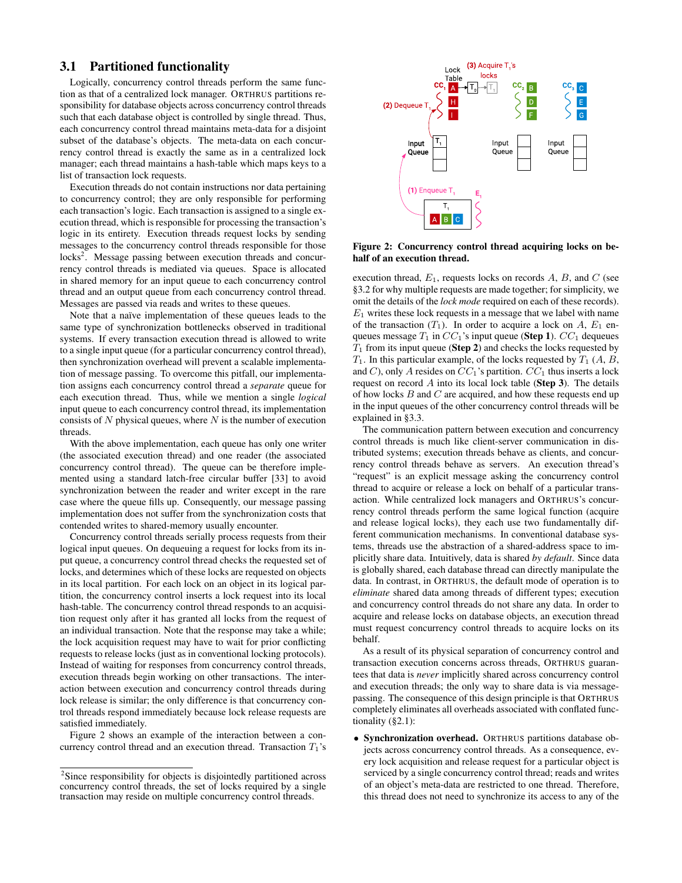### 3.1 Partitioned functionality

Logically, concurrency control threads perform the same function as that of a centralized lock manager. ORTHRUS partitions responsibility for database objects across concurrency control threads such that each database object is controlled by single thread. Thus, each concurrency control thread maintains meta-data for a disjoint subset of the database's objects. The meta-data on each concurrency control thread is exactly the same as in a centralized lock manager; each thread maintains a hash-table which maps keys to a list of transaction lock requests.

Execution threads do not contain instructions nor data pertaining to concurrency control; they are only responsible for performing each transaction's logic. Each transaction is assigned to a single execution thread, which is responsible for processing the transaction's logic in its entirety. Execution threads request locks by sending messages to the concurrency control threads responsible for those locks<sup>2</sup>. Message passing between execution threads and concurrency control threads is mediated via queues. Space is allocated in shared memory for an input queue to each concurrency control thread and an output queue from each concurrency control thread. Messages are passed via reads and writes to these queues.

Note that a naïve implementation of these queues leads to the same type of synchronization bottlenecks observed in traditional systems. If every transaction execution thread is allowed to write to a single input queue (for a particular concurrency control thread), then synchronization overhead will prevent a scalable implementation of message passing. To overcome this pitfall, our implementation assigns each concurrency control thread a *separate* queue for each execution thread. Thus, while we mention a single *logical* input queue to each concurrency control thread, its implementation consists of  $N$  physical queues, where  $N$  is the number of execution threads.

With the above implementation, each queue has only one writer (the associated execution thread) and one reader (the associated concurrency control thread). The queue can be therefore implemented using a standard latch-free circular buffer [33] to avoid synchronization between the reader and writer except in the rare case where the queue fills up. Consequently, our message passing implementation does not suffer from the synchronization costs that contended writes to shared-memory usually encounter.

Concurrency control threads serially process requests from their logical input queues. On dequeuing a request for locks from its input queue, a concurrency control thread checks the requested set of locks, and determines which of these locks are requested on objects in its local partition. For each lock on an object in its logical partition, the concurrency control inserts a lock request into its local hash-table. The concurrency control thread responds to an acquisition request only after it has granted all locks from the request of an individual transaction. Note that the response may take a while; the lock acquisition request may have to wait for prior conflicting requests to release locks (just as in conventional locking protocols). Instead of waiting for responses from concurrency control threads, execution threads begin working on other transactions. The interaction between execution and concurrency control threads during lock release is similar; the only difference is that concurrency control threads respond immediately because lock release requests are satisfied immediately.

Figure 2 shows an example of the interaction between a concurrency control thread and an execution thread. Transaction  $T_1$ 's



Figure 2: Concurrency control thread acquiring locks on behalf of an execution thread.

execution thread,  $E_1$ , requests locks on records  $A$ ,  $B$ , and  $C$  (see §3.2 for why multiple requests are made together; for simplicity, we omit the details of the *lock mode* required on each of these records).  $E_1$  writes these lock requests in a message that we label with name of the transaction  $(T_1)$ . In order to acquire a lock on A,  $E_1$  enqueues message  $T_1$  in  $CC_1$ 's input queue (Step 1).  $CC_1$  dequeues  $T_1$  from its input queue (**Step 2**) and checks the locks requested by  $T_1$ . In this particular example, of the locks requested by  $T_1(A, B, A)$ and C), only A resides on  $CC_1$ 's partition.  $CC_1$  thus inserts a lock request on record  $A$  into its local lock table (**Step 3**). The details of how locks  $B$  and  $C$  are acquired, and how these requests end up in the input queues of the other concurrency control threads will be explained in §3.3.

The communication pattern between execution and concurrency control threads is much like client-server communication in distributed systems; execution threads behave as clients, and concurrency control threads behave as servers. An execution thread's "request" is an explicit message asking the concurrency control thread to acquire or release a lock on behalf of a particular transaction. While centralized lock managers and ORTHRUS's concurrency control threads perform the same logical function (acquire and release logical locks), they each use two fundamentally different communication mechanisms. In conventional database systems, threads use the abstraction of a shared-address space to implicitly share data. Intuitively, data is shared *by default*. Since data is globally shared, each database thread can directly manipulate the data. In contrast, in ORTHRUS, the default mode of operation is to *eliminate* shared data among threads of different types; execution and concurrency control threads do not share any data. In order to acquire and release locks on database objects, an execution thread must request concurrency control threads to acquire locks on its behalf.

As a result of its physical separation of concurrency control and transaction execution concerns across threads, ORTHRUS guarantees that data is *never* implicitly shared across concurrency control and execution threads; the only way to share data is via messagepassing. The consequence of this design principle is that ORTHRUS completely eliminates all overheads associated with conflated functionality (§2.1):

• Synchronization overhead. ORTHRUS partitions database objects across concurrency control threads. As a consequence, every lock acquisition and release request for a particular object is serviced by a single concurrency control thread; reads and writes of an object's meta-data are restricted to one thread. Therefore, this thread does not need to synchronize its access to any of the

<sup>&</sup>lt;sup>2</sup>Since responsibility for objects is disjointedly partitioned across concurrency control threads, the set of locks required by a single transaction may reside on multiple concurrency control threads.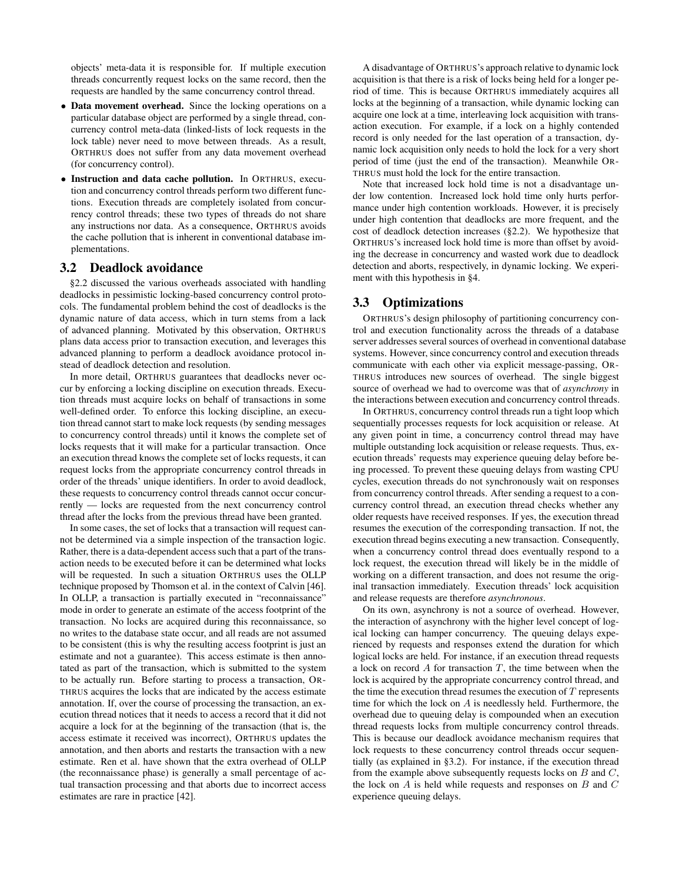objects' meta-data it is responsible for. If multiple execution threads concurrently request locks on the same record, then the requests are handled by the same concurrency control thread.

- Data movement overhead. Since the locking operations on a particular database object are performed by a single thread, concurrency control meta-data (linked-lists of lock requests in the lock table) never need to move between threads. As a result, ORTHRUS does not suffer from any data movement overhead (for concurrency control).
- Instruction and data cache pollution. In ORTHRUS, execution and concurrency control threads perform two different functions. Execution threads are completely isolated from concurrency control threads; these two types of threads do not share any instructions nor data. As a consequence, ORTHRUS avoids the cache pollution that is inherent in conventional database implementations.

#### 3.2 Deadlock avoidance

§2.2 discussed the various overheads associated with handling deadlocks in pessimistic locking-based concurrency control protocols. The fundamental problem behind the cost of deadlocks is the dynamic nature of data access, which in turn stems from a lack of advanced planning. Motivated by this observation, ORTHRUS plans data access prior to transaction execution, and leverages this advanced planning to perform a deadlock avoidance protocol instead of deadlock detection and resolution.

In more detail, ORTHRUS guarantees that deadlocks never occur by enforcing a locking discipline on execution threads. Execution threads must acquire locks on behalf of transactions in some well-defined order. To enforce this locking discipline, an execution thread cannot start to make lock requests (by sending messages to concurrency control threads) until it knows the complete set of locks requests that it will make for a particular transaction. Once an execution thread knows the complete set of locks requests, it can request locks from the appropriate concurrency control threads in order of the threads' unique identifiers. In order to avoid deadlock, these requests to concurrency control threads cannot occur concurrently — locks are requested from the next concurrency control thread after the locks from the previous thread have been granted.

In some cases, the set of locks that a transaction will request cannot be determined via a simple inspection of the transaction logic. Rather, there is a data-dependent access such that a part of the transaction needs to be executed before it can be determined what locks will be requested. In such a situation ORTHRUS uses the OLLP technique proposed by Thomson et al. in the context of Calvin [46]. In OLLP, a transaction is partially executed in "reconnaissance" mode in order to generate an estimate of the access footprint of the transaction. No locks are acquired during this reconnaissance, so no writes to the database state occur, and all reads are not assumed to be consistent (this is why the resulting access footprint is just an estimate and not a guarantee). This access estimate is then annotated as part of the transaction, which is submitted to the system to be actually run. Before starting to process a transaction, OR-THRUS acquires the locks that are indicated by the access estimate annotation. If, over the course of processing the transaction, an execution thread notices that it needs to access a record that it did not acquire a lock for at the beginning of the transaction (that is, the access estimate it received was incorrect), ORTHRUS updates the annotation, and then aborts and restarts the transaction with a new estimate. Ren et al. have shown that the extra overhead of OLLP (the reconnaissance phase) is generally a small percentage of actual transaction processing and that aborts due to incorrect access estimates are rare in practice [42].

A disadvantage of ORTHRUS's approach relative to dynamic lock acquisition is that there is a risk of locks being held for a longer period of time. This is because ORTHRUS immediately acquires all locks at the beginning of a transaction, while dynamic locking can acquire one lock at a time, interleaving lock acquisition with transaction execution. For example, if a lock on a highly contended record is only needed for the last operation of a transaction, dynamic lock acquisition only needs to hold the lock for a very short period of time (just the end of the transaction). Meanwhile OR-THRUS must hold the lock for the entire transaction.

Note that increased lock hold time is not a disadvantage under low contention. Increased lock hold time only hurts performance under high contention workloads. However, it is precisely under high contention that deadlocks are more frequent, and the cost of deadlock detection increases (§2.2). We hypothesize that ORTHRUS's increased lock hold time is more than offset by avoiding the decrease in concurrency and wasted work due to deadlock detection and aborts, respectively, in dynamic locking. We experiment with this hypothesis in §4.

### 3.3 Optimizations

ORTHRUS's design philosophy of partitioning concurrency control and execution functionality across the threads of a database server addresses several sources of overhead in conventional database systems. However, since concurrency control and execution threads communicate with each other via explicit message-passing, OR-THRUS introduces new sources of overhead. The single biggest source of overhead we had to overcome was that of *asynchrony* in the interactions between execution and concurrency control threads.

In ORTHRUS, concurrency control threads run a tight loop which sequentially processes requests for lock acquisition or release. At any given point in time, a concurrency control thread may have multiple outstanding lock acquisition or release requests. Thus, execution threads' requests may experience queuing delay before being processed. To prevent these queuing delays from wasting CPU cycles, execution threads do not synchronously wait on responses from concurrency control threads. After sending a request to a concurrency control thread, an execution thread checks whether any older requests have received responses. If yes, the execution thread resumes the execution of the corresponding transaction. If not, the execution thread begins executing a new transaction. Consequently, when a concurrency control thread does eventually respond to a lock request, the execution thread will likely be in the middle of working on a different transaction, and does not resume the original transaction immediately. Execution threads' lock acquisition and release requests are therefore *asynchronous*.

On its own, asynchrony is not a source of overhead. However, the interaction of asynchrony with the higher level concept of logical locking can hamper concurrency. The queuing delays experienced by requests and responses extend the duration for which logical locks are held. For instance, if an execution thread requests a lock on record  $A$  for transaction  $T$ , the time between when the lock is acquired by the appropriate concurrency control thread, and the time the execution thread resumes the execution of  $T$  represents time for which the lock on  $A$  is needlessly held. Furthermore, the overhead due to queuing delay is compounded when an execution thread requests locks from multiple concurrency control threads. This is because our deadlock avoidance mechanism requires that lock requests to these concurrency control threads occur sequentially (as explained in §3.2). For instance, if the execution thread from the example above subsequently requests locks on  $B$  and  $C$ , the lock on  $A$  is held while requests and responses on  $B$  and  $C$ experience queuing delays.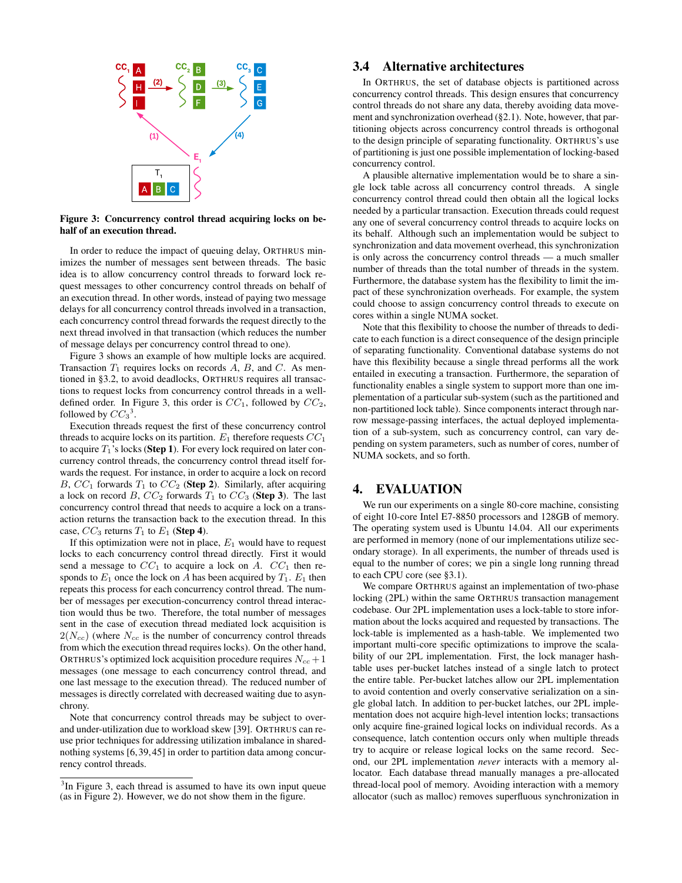

Figure 3: Concurrency control thread acquiring locks on behalf of an execution thread.

In order to reduce the impact of queuing delay, ORTHRUS minimizes the number of messages sent between threads. The basic idea is to allow concurrency control threads to forward lock request messages to other concurrency control threads on behalf of an execution thread. In other words, instead of paying two message delays for all concurrency control threads involved in a transaction, each concurrency control thread forwards the request directly to the next thread involved in that transaction (which reduces the number of message delays per concurrency control thread to one).

Figure 3 shows an example of how multiple locks are acquired. Transaction  $T_1$  requires locks on records  $A, B$ , and  $C$ . As mentioned in §3.2, to avoid deadlocks, ORTHRUS requires all transactions to request locks from concurrency control threads in a welldefined order. In Figure 3, this order is  $CC_1$ , followed by  $CC_2$ , followed by  $CC_3^3$ .

Execution threads request the first of these concurrency control threads to acquire locks on its partition.  $E_1$  therefore requests  $CC_1$ to acquire  $T_1$ 's locks (**Step 1**). For every lock required on later concurrency control threads, the concurrency control thread itself forwards the request. For instance, in order to acquire a lock on record B,  $CC_1$  forwards  $T_1$  to  $CC_2$  (Step 2). Similarly, after acquiring a lock on record B,  $CC_2$  forwards  $T_1$  to  $CC_3$  (Step 3). The last concurrency control thread that needs to acquire a lock on a transaction returns the transaction back to the execution thread. In this case,  $CC_3$  returns  $T_1$  to  $E_1$  (Step 4).

If this optimization were not in place,  $E_1$  would have to request locks to each concurrency control thread directly. First it would send a message to  $CC_1$  to acquire a lock on A.  $CC_1$  then responds to  $E_1$  once the lock on A has been acquired by  $T_1$ .  $E_1$  then repeats this process for each concurrency control thread. The number of messages per execution-concurrency control thread interaction would thus be two. Therefore, the total number of messages sent in the case of execution thread mediated lock acquisition is  $2(N_{cc})$  (where  $N_{cc}$  is the number of concurrency control threads from which the execution thread requires locks). On the other hand, ORTHRUS's optimized lock acquisition procedure requires  $N_{cc} + 1$ messages (one message to each concurrency control thread, and one last message to the execution thread). The reduced number of messages is directly correlated with decreased waiting due to asynchrony.

Note that concurrency control threads may be subject to overand under-utilization due to workload skew [39]. ORTHRUS can reuse prior techniques for addressing utilization imbalance in sharednothing systems [6, 39, 45] in order to partition data among concurrency control threads.

#### 3.4 Alternative architectures

In ORTHRUS, the set of database objects is partitioned across concurrency control threads. This design ensures that concurrency control threads do not share any data, thereby avoiding data movement and synchronization overhead (§2.1). Note, however, that partitioning objects across concurrency control threads is orthogonal to the design principle of separating functionality. ORTHRUS's use of partitioning is just one possible implementation of locking-based concurrency control.

A plausible alternative implementation would be to share a single lock table across all concurrency control threads. A single concurrency control thread could then obtain all the logical locks needed by a particular transaction. Execution threads could request any one of several concurrency control threads to acquire locks on its behalf. Although such an implementation would be subject to synchronization and data movement overhead, this synchronization is only across the concurrency control threads — a much smaller number of threads than the total number of threads in the system. Furthermore, the database system has the flexibility to limit the impact of these synchronization overheads. For example, the system could choose to assign concurrency control threads to execute on cores within a single NUMA socket.

Note that this flexibility to choose the number of threads to dedicate to each function is a direct consequence of the design principle of separating functionality. Conventional database systems do not have this flexibility because a single thread performs all the work entailed in executing a transaction. Furthermore, the separation of functionality enables a single system to support more than one implementation of a particular sub-system (such as the partitioned and non-partitioned lock table). Since components interact through narrow message-passing interfaces, the actual deployed implementation of a sub-system, such as concurrency control, can vary depending on system parameters, such as number of cores, number of NUMA sockets, and so forth.

### 4. EVALUATION

We run our experiments on a single 80-core machine, consisting of eight 10-core Intel E7-8850 processors and 128GB of memory. The operating system used is Ubuntu 14.04. All our experiments are performed in memory (none of our implementations utilize secondary storage). In all experiments, the number of threads used is equal to the number of cores; we pin a single long running thread to each CPU core (see §3.1).

We compare ORTHRUS against an implementation of two-phase locking (2PL) within the same ORTHRUS transaction management codebase. Our 2PL implementation uses a lock-table to store information about the locks acquired and requested by transactions. The lock-table is implemented as a hash-table. We implemented two important multi-core specific optimizations to improve the scalability of our 2PL implementation. First, the lock manager hashtable uses per-bucket latches instead of a single latch to protect the entire table. Per-bucket latches allow our 2PL implementation to avoid contention and overly conservative serialization on a single global latch. In addition to per-bucket latches, our 2PL implementation does not acquire high-level intention locks; transactions only acquire fine-grained logical locks on individual records. As a consequence, latch contention occurs only when multiple threads try to acquire or release logical locks on the same record. Second, our 2PL implementation *never* interacts with a memory allocator. Each database thread manually manages a pre-allocated thread-local pool of memory. Avoiding interaction with a memory allocator (such as malloc) removes superfluous synchronization in

<sup>&</sup>lt;sup>3</sup>In Figure 3, each thread is assumed to have its own input queue (as in Figure 2). However, we do not show them in the figure.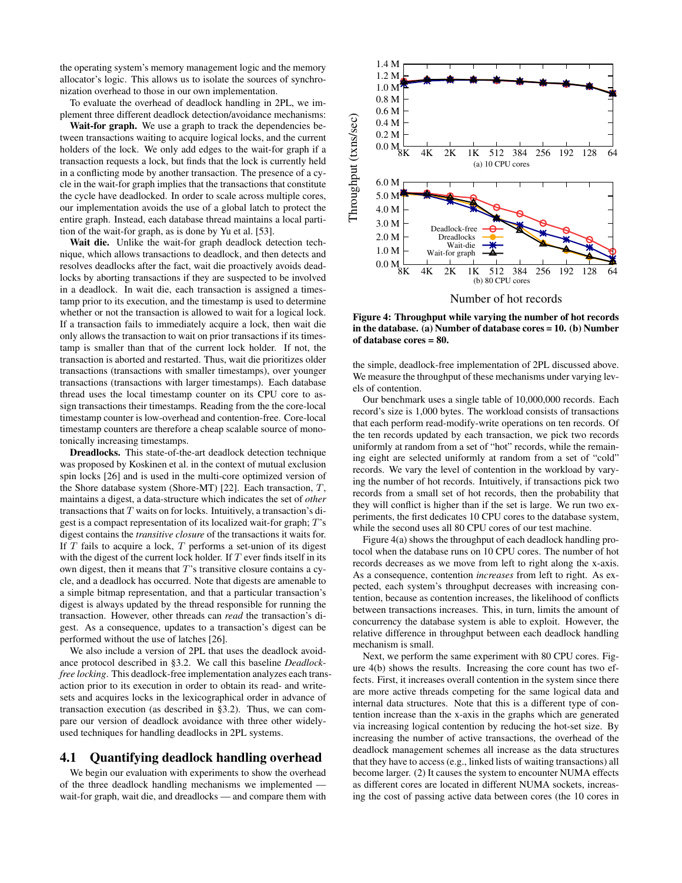the operating system's memory management logic and the memory allocator's logic. This allows us to isolate the sources of synchronization overhead to those in our own implementation.

To evaluate the overhead of deadlock handling in 2PL, we implement three different deadlock detection/avoidance mechanisms:

Wait-for graph. We use a graph to track the dependencies between transactions waiting to acquire logical locks, and the current holders of the lock. We only add edges to the wait-for graph if a transaction requests a lock, but finds that the lock is currently held in a conflicting mode by another transaction. The presence of a cycle in the wait-for graph implies that the transactions that constitute the cycle have deadlocked. In order to scale across multiple cores, our implementation avoids the use of a global latch to protect the entire graph. Instead, each database thread maintains a local partition of the wait-for graph, as is done by Yu et al. [53].

Wait die. Unlike the wait-for graph deadlock detection technique, which allows transactions to deadlock, and then detects and resolves deadlocks after the fact, wait die proactively avoids deadlocks by aborting transactions if they are suspected to be involved in a deadlock. In wait die, each transaction is assigned a timestamp prior to its execution, and the timestamp is used to determine whether or not the transaction is allowed to wait for a logical lock. If a transaction fails to immediately acquire a lock, then wait die only allows the transaction to wait on prior transactions if its timestamp is smaller than that of the current lock holder. If not, the transaction is aborted and restarted. Thus, wait die prioritizes older transactions (transactions with smaller timestamps), over younger transactions (transactions with larger timestamps). Each database thread uses the local timestamp counter on its CPU core to assign transactions their timestamps. Reading from the the core-local timestamp counter is low-overhead and contention-free. Core-local timestamp counters are therefore a cheap scalable source of monotonically increasing timestamps.

Dreadlocks. This state-of-the-art deadlock detection technique was proposed by Koskinen et al. in the context of mutual exclusion spin locks [26] and is used in the multi-core optimized version of the Shore database system (Shore-MT) [22]. Each transaction,  $T$ , maintains a digest, a data-structure which indicates the set of *other* transactions that T waits on for locks. Intuitively, a transaction's digest is a compact representation of its localized wait-for graph; T's digest contains the *transitive closure* of the transactions it waits for. If  $T$  fails to acquire a lock,  $T$  performs a set-union of its digest with the digest of the current lock holder. If  $T$  ever finds itself in its own digest, then it means that  $T$ 's transitive closure contains a cycle, and a deadlock has occurred. Note that digests are amenable to a simple bitmap representation, and that a particular transaction's digest is always updated by the thread responsible for running the transaction. However, other threads can *read* the transaction's digest. As a consequence, updates to a transaction's digest can be performed without the use of latches [26].

We also include a version of 2PL that uses the deadlock avoidance protocol described in §3.2. We call this baseline *Deadlockfree locking*. This deadlock-free implementation analyzes each transaction prior to its execution in order to obtain its read- and writesets and acquires locks in the lexicographical order in advance of transaction execution (as described in §3.2). Thus, we can compare our version of deadlock avoidance with three other widelyused techniques for handling deadlocks in 2PL systems.

#### 4.1 Quantifying deadlock handling overhead

We begin our evaluation with experiments to show the overhead of the three deadlock handling mechanisms we implemented wait-for graph, wait die, and dreadlocks — and compare them with



Number of hot records

Figure 4: Throughput while varying the number of hot records in the database. (a) Number of database cores = 10. (b) Number of database cores = 80.

the simple, deadlock-free implementation of 2PL discussed above. We measure the throughput of these mechanisms under varying levels of contention.

Our benchmark uses a single table of 10,000,000 records. Each record's size is 1,000 bytes. The workload consists of transactions that each perform read-modify-write operations on ten records. Of the ten records updated by each transaction, we pick two records uniformly at random from a set of "hot" records, while the remaining eight are selected uniformly at random from a set of "cold" records. We vary the level of contention in the workload by varying the number of hot records. Intuitively, if transactions pick two records from a small set of hot records, then the probability that they will conflict is higher than if the set is large. We run two experiments, the first dedicates 10 CPU cores to the database system, while the second uses all 80 CPU cores of our test machine.

Figure 4(a) shows the throughput of each deadlock handling protocol when the database runs on 10 CPU cores. The number of hot records decreases as we move from left to right along the x-axis. As a consequence, contention *increases* from left to right. As expected, each system's throughput decreases with increasing contention, because as contention increases, the likelihood of conflicts between transactions increases. This, in turn, limits the amount of concurrency the database system is able to exploit. However, the relative difference in throughput between each deadlock handling mechanism is small.

Next, we perform the same experiment with 80 CPU cores. Figure 4(b) shows the results. Increasing the core count has two effects. First, it increases overall contention in the system since there are more active threads competing for the same logical data and internal data structures. Note that this is a different type of contention increase than the x-axis in the graphs which are generated via increasing logical contention by reducing the hot-set size. By increasing the number of active transactions, the overhead of the deadlock management schemes all increase as the data structures that they have to access (e.g., linked lists of waiting transactions) all become larger. (2) It causes the system to encounter NUMA effects as different cores are located in different NUMA sockets, increasing the cost of passing active data between cores (the 10 cores in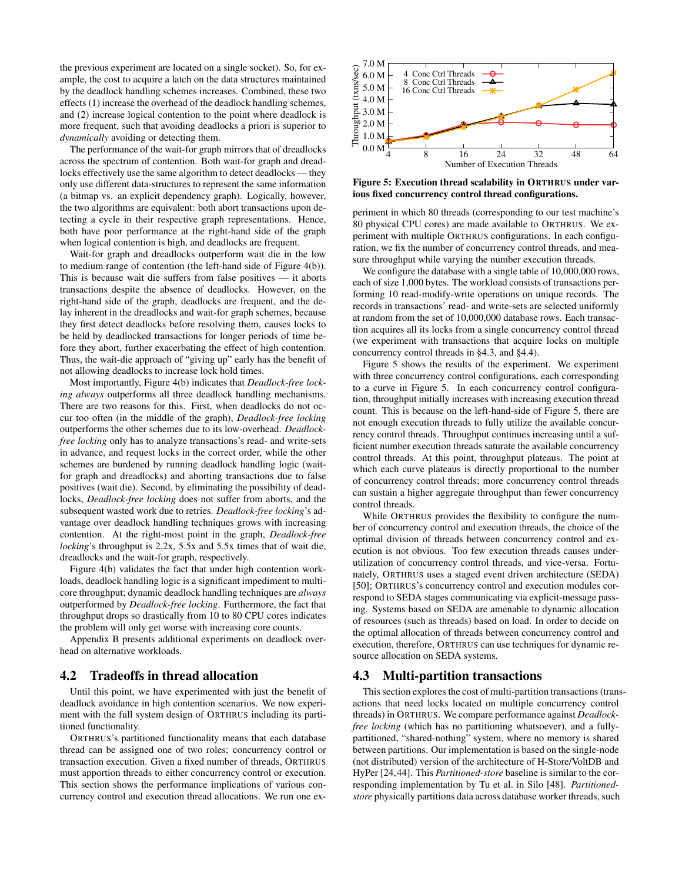the previous experiment are located on a single socket). So, for example, the cost to acquire a latch on the data structures maintained by the deadlock handling schemes increases. Combined, these two effects (1) increase the overhead of the deadlock handling schemes, and (2) increase logical contention to the point where deadlock is more frequent, such that avoiding deadlocks a priori is superior to *dynamically* avoiding or detecting them.

The performance of the wait-for graph mirrors that of dreadlocks across the spectrum of contention. Both wait-for graph and dreadlocks effectively use the same algorithm to detect deadlocks — they only use different data-structures to represent the same information (a bitmap vs. an explicit dependency graph). Logically, however, the two algorithms are equivalent: both abort transactions upon detecting a cycle in their respective graph representations. Hence, both have poor performance at the right-hand side of the graph when logical contention is high, and deadlocks are frequent.

Wait-for graph and dreadlocks outperform wait die in the low to medium range of contention (the left-hand side of Figure 4(b)). This is because wait die suffers from false positives — it aborts transactions despite the absence of deadlocks. However, on the right-hand side of the graph, deadlocks are frequent, and the delay inherent in the dreadlocks and wait-for graph schemes, because they first detect deadlocks before resolving them, causes locks to be held by deadlocked transactions for longer periods of time before they abort, further exacerbating the effect of high contention. Thus, the wait-die approach of "giving up" early has the benefit of not allowing deadlocks to increase lock hold times.

Most importantly, Figure 4(b) indicates that *Deadlock-free locking always* outperforms all three deadlock handling mechanisms. There are two reasons for this. First, when deadlocks do not occur too often (in the middle of the graph), *Deadlock-free locking* outperforms the other schemes due to its low-overhead. *Deadlockfree locking* only has to analyze transactions's read- and write-sets in advance, and request locks in the correct order, while the other schemes are burdened by running deadlock handling logic (waitfor graph and dreadlocks) and aborting transactions due to false positives (wait die). Second, by eliminating the possibility of deadlocks, *Deadlock-free locking* does not suffer from aborts, and the subsequent wasted work due to retries. *Deadlock-free locking*'s advantage over deadlock handling techniques grows with increasing contention. At the right-most point in the graph, *Deadlock-free locking*'s throughput is 2.2x, 5.5x and 5.5x times that of wait die, dreadlocks and the wait-for graph, respectively.

Figure 4(b) validates the fact that under high contention workloads, deadlock handling logic is a significant impediment to multicore throughput; dynamic deadlock handling techniques are *always* outperformed by *Deadlock-free locking*. Furthermore, the fact that throughput drops so drastically from 10 to 80 CPU cores indicates the problem will only get worse with increasing core counts.

Appendix B presents additional experiments on deadlock overhead on alternative workloads.

#### 4.2 Tradeoffs in thread allocation

Until this point, we have experimented with just the benefit of deadlock avoidance in high contention scenarios. We now experiment with the full system design of ORTHRUS including its partitioned functionality.

ORTHRUS's partitioned functionality means that each database thread can be assigned one of two roles; concurrency control or transaction execution. Given a fixed number of threads, ORTHRUS must apportion threads to either concurrency control or execution. This section shows the performance implications of various concurrency control and execution thread allocations. We run one ex-



Figure 5: Execution thread scalability in ORTHRUS under various fixed concurrency control thread configurations.

periment in which 80 threads (corresponding to our test machine's 80 physical CPU cores) are made available to ORTHRUS. We experiment with multiple ORTHRUS configurations. In each configuration, we fix the number of concurrency control threads, and measure throughput while varying the number execution threads.

We configure the database with a single table of 10,000,000 rows, each of size 1,000 bytes. The workload consists of transactions performing 10 read-modify-write operations on unique records. The records in transactions' read- and write-sets are selected uniformly at random from the set of 10,000,000 database rows. Each transaction acquires all its locks from a single concurrency control thread (we experiment with transactions that acquire locks on multiple concurrency control threads in §4.3, and §4.4).

Figure 5 shows the results of the experiment. We experiment with three concurrency control configurations, each corresponding to a curve in Figure 5. In each concurrency control configuration, throughput initially increases with increasing execution thread count. This is because on the left-hand-side of Figure 5, there are not enough execution threads to fully utilize the available concurrency control threads. Throughput continues increasing until a sufficient number execution threads saturate the available concurrency control threads. At this point, throughput plateaus. The point at which each curve plateaus is directly proportional to the number of concurrency control threads; more concurrency control threads can sustain a higher aggregate throughput than fewer concurrency control threads.

While ORTHRUS provides the flexibility to configure the number of concurrency control and execution threads, the choice of the optimal division of threads between concurrency control and execution is not obvious. Too few execution threads causes underutilization of concurrency control threads, and vice-versa. Fortunately, ORTHRUS uses a staged event driven architecture (SEDA) [50]; ORTHRUS's concurrency control and execution modules correspond to SEDA stages communicating via explicit-message passing. Systems based on SEDA are amenable to dynamic allocation of resources (such as threads) based on load. In order to decide on the optimal allocation of threads between concurrency control and execution, therefore, ORTHRUS can use techniques for dynamic resource allocation on SEDA systems.

#### 4.3 Multi-partition transactions

This section explores the cost of multi-partition transactions (transactions that need locks located on multiple concurrency control threads) in ORTHRUS. We compare performance against *Deadlockfree locking* (which has no partitioning whatsoever), and a fullypartitioned, "shared-nothing" system, where no memory is shared between partitions. Our implementation is based on the single-node (not distributed) version of the architecture of H-Store/VoltDB and HyPer [24,44]. This *Partitioned-store* baseline is similar to the corresponding implementation by Tu et al. in Silo [48]. *Partitionedstore* physically partitions data across database worker threads, such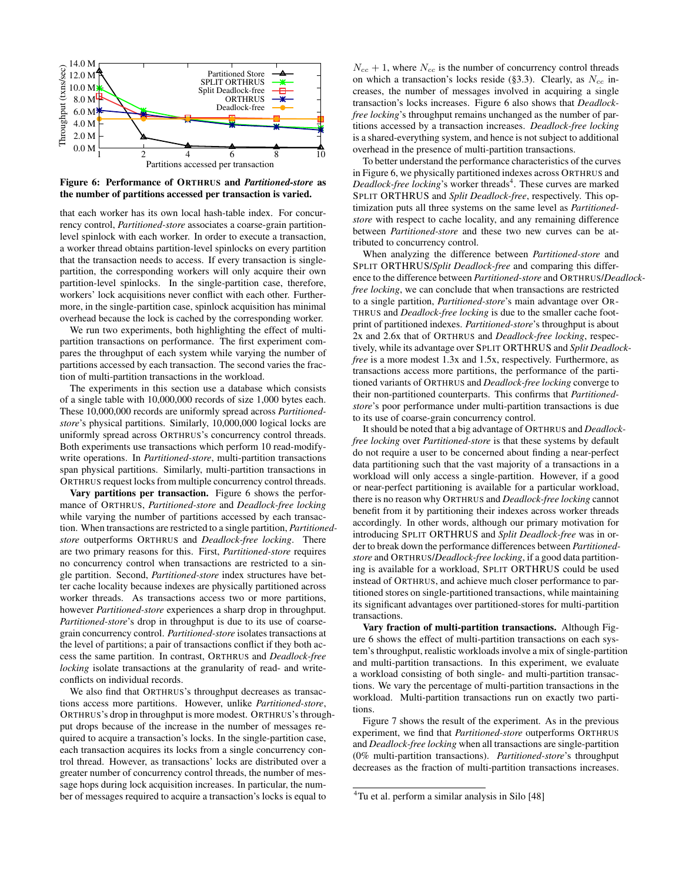

Figure 6: Performance of ORTHRUS and *Partitioned-store* as the number of partitions accessed per transaction is varied.

that each worker has its own local hash-table index. For concurrency control, *Partitioned-store* associates a coarse-grain partitionlevel spinlock with each worker. In order to execute a transaction, a worker thread obtains partition-level spinlocks on every partition that the transaction needs to access. If every transaction is singlepartition, the corresponding workers will only acquire their own partition-level spinlocks. In the single-partition case, therefore, workers' lock acquisitions never conflict with each other. Furthermore, in the single-partition case, spinlock acquisition has minimal overhead because the lock is cached by the corresponding worker.

We run two experiments, both highlighting the effect of multipartition transactions on performance. The first experiment compares the throughput of each system while varying the number of partitions accessed by each transaction. The second varies the fraction of multi-partition transactions in the workload.

The experiments in this section use a database which consists of a single table with 10,000,000 records of size 1,000 bytes each. These 10,000,000 records are uniformly spread across *Partitionedstore*'s physical partitions. Similarly, 10,000,000 logical locks are uniformly spread across ORTHRUS's concurrency control threads. Both experiments use transactions which perform 10 read-modifywrite operations. In *Partitioned-store*, multi-partition transactions span physical partitions. Similarly, multi-partition transactions in ORTHRUS request locks from multiple concurrency control threads.

Vary partitions per transaction. Figure 6 shows the performance of ORTHRUS, *Partitioned-store* and *Deadlock-free locking* while varying the number of partitions accessed by each transaction. When transactions are restricted to a single partition, *Partitionedstore* outperforms ORTHRUS and *Deadlock-free locking*. There are two primary reasons for this. First, *Partitioned-store* requires no concurrency control when transactions are restricted to a single partition. Second, *Partitioned-store* index structures have better cache locality because indexes are physically partitioned across worker threads. As transactions access two or more partitions, however *Partitioned-store* experiences a sharp drop in throughput. *Partitioned-store*'s drop in throughput is due to its use of coarsegrain concurrency control. *Partitioned-store* isolates transactions at the level of partitions; a pair of transactions conflict if they both access the same partition. In contrast, ORTHRUS and *Deadlock-free locking* isolate transactions at the granularity of read- and writeconflicts on individual records.

We also find that ORTHRUS's throughput decreases as transactions access more partitions. However, unlike *Partitioned-store*, ORTHRUS's drop in throughput is more modest. ORTHRUS's throughput drops because of the increase in the number of messages required to acquire a transaction's locks. In the single-partition case, each transaction acquires its locks from a single concurrency control thread. However, as transactions' locks are distributed over a greater number of concurrency control threads, the number of message hops during lock acquisition increases. In particular, the number of messages required to acquire a transaction's locks is equal to

 $N_{cc}$  + 1, where  $N_{cc}$  is the number of concurrency control threads on which a transaction's locks reside (§3.3). Clearly, as  $N_{cc}$  increases, the number of messages involved in acquiring a single transaction's locks increases. Figure 6 also shows that *Deadlockfree locking*'s throughput remains unchanged as the number of partitions accessed by a transaction increases. *Deadlock-free locking* is a shared-everything system, and hence is not subject to additional overhead in the presence of multi-partition transactions.

To better understand the performance characteristics of the curves in Figure 6, we physically partitioned indexes across ORTHRUS and Deadlock-free locking's worker threads<sup>4</sup>. These curves are marked SPLIT ORTHRUS and *Split Deadlock-free*, respectively. This optimization puts all three systems on the same level as *Partitionedstore* with respect to cache locality, and any remaining difference between *Partitioned-store* and these two new curves can be attributed to concurrency control.

When analyzing the difference between *Partitioned-store* and SPLIT ORTHRUS/*Split Deadlock-free* and comparing this difference to the difference between *Partitioned-store* and ORTHRUS/*Deadlockfree locking*, we can conclude that when transactions are restricted to a single partition, *Partitioned-store*'s main advantage over OR-THRUS and *Deadlock-free locking* is due to the smaller cache footprint of partitioned indexes. *Partitioned-store*'s throughput is about 2x and 2.6x that of ORTHRUS and *Deadlock-free locking*, respectively, while its advantage over SPLIT ORTHRUS and *Split Deadlockfree* is a more modest 1.3x and 1.5x, respectively. Furthermore, as transactions access more partitions, the performance of the partitioned variants of ORTHRUS and *Deadlock-free locking* converge to their non-partitioned counterparts. This confirms that *Partitionedstore*'s poor performance under multi-partition transactions is due to its use of coarse-grain concurrency control.

It should be noted that a big advantage of ORTHRUS and *Deadlockfree locking* over *Partitioned-store* is that these systems by default do not require a user to be concerned about finding a near-perfect data partitioning such that the vast majority of a transactions in a workload will only access a single-partition. However, if a good or near-perfect partitioning is available for a particular workload, there is no reason why ORTHRUS and *Deadlock-free locking* cannot benefit from it by partitioning their indexes across worker threads accordingly. In other words, although our primary motivation for introducing SPLIT ORTHRUS and *Split Deadlock-free* was in order to break down the performance differences between *Partitionedstore* and ORTHRUS/*Deadlock-free locking*, if a good data partitioning is available for a workload, SPLIT ORTHRUS could be used instead of ORTHRUS, and achieve much closer performance to partitioned stores on single-partitioned transactions, while maintaining its significant advantages over partitioned-stores for multi-partition transactions.

Vary fraction of multi-partition transactions. Although Figure 6 shows the effect of multi-partition transactions on each system's throughput, realistic workloads involve a mix of single-partition and multi-partition transactions. In this experiment, we evaluate a workload consisting of both single- and multi-partition transactions. We vary the percentage of multi-partition transactions in the workload. Multi-partition transactions run on exactly two partitions.

Figure 7 shows the result of the experiment. As in the previous experiment, we find that *Partitioned-store* outperforms ORTHRUS and *Deadlock-free locking* when all transactions are single-partition (0% multi-partition transactions). *Partitioned-store*'s throughput decreases as the fraction of multi-partition transactions increases.

<sup>&</sup>lt;sup>4</sup>Tu et al. perform a similar analysis in Silo [48]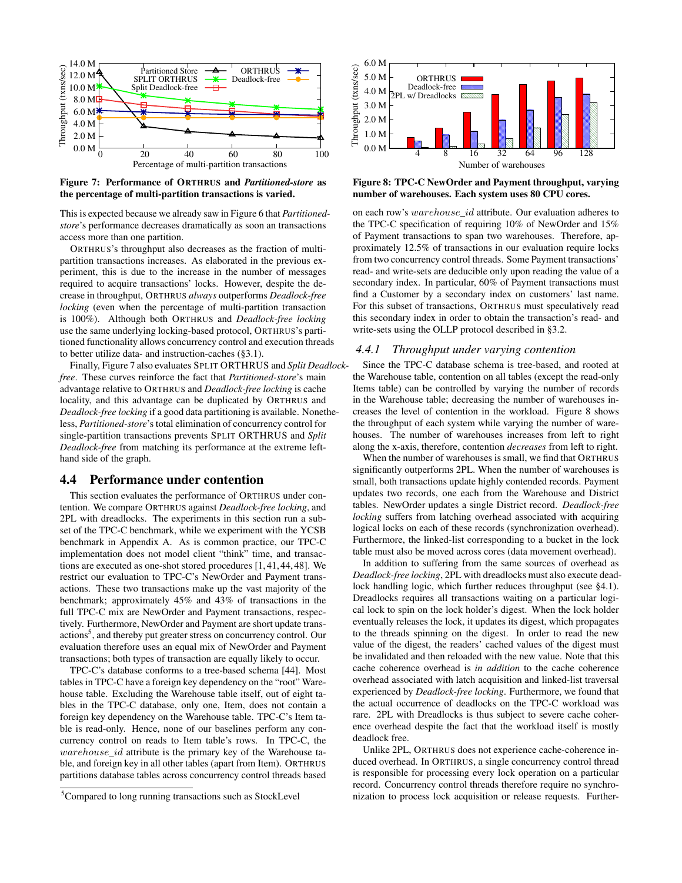

Figure 7: Performance of ORTHRUS and *Partitioned-store* as the percentage of multi-partition transactions is varied.

This is expected because we already saw in Figure 6 that *Partitionedstore*'s performance decreases dramatically as soon an transactions access more than one partition.

ORTHRUS's throughput also decreases as the fraction of multipartition transactions increases. As elaborated in the previous experiment, this is due to the increase in the number of messages required to acquire transactions' locks. However, despite the decrease in throughput, ORTHRUS *always* outperforms *Deadlock-free locking* (even when the percentage of multi-partition transaction is 100%). Although both ORTHRUS and *Deadlock-free locking* use the same underlying locking-based protocol, ORTHRUS's partitioned functionality allows concurrency control and execution threads to better utilize data- and instruction-caches (§3.1).

Finally, Figure 7 also evaluates SPLIT ORTHRUS and *Split Deadlockfree*. These curves reinforce the fact that *Partitioned-store*'s main advantage relative to ORTHRUS and *Deadlock-free locking* is cache locality, and this advantage can be duplicated by ORTHRUS and *Deadlock-free locking* if a good data partitioning is available. Nonetheless, *Partitioned-store*'s total elimination of concurrency control for single-partition transactions prevents SPLIT ORTHRUS and *Split Deadlock-free* from matching its performance at the extreme lefthand side of the graph.

#### 4.4 Performance under contention

This section evaluates the performance of ORTHRUS under contention. We compare ORTHRUS against *Deadlock-free locking*, and 2PL with dreadlocks. The experiments in this section run a subset of the TPC-C benchmark, while we experiment with the YCSB benchmark in Appendix A. As is common practice, our TPC-C implementation does not model client "think" time, and transactions are executed as one-shot stored procedures [1, 41, 44, 48]. We restrict our evaluation to TPC-C's NewOrder and Payment transactions. These two transactions make up the vast majority of the benchmark; approximately 45% and 43% of transactions in the full TPC-C mix are NewOrder and Payment transactions, respectively. Furthermore, NewOrder and Payment are short update transactions<sup>5</sup>, and thereby put greater stress on concurrency control. Our evaluation therefore uses an equal mix of NewOrder and Payment transactions; both types of transaction are equally likely to occur.

TPC-C's database conforms to a tree-based schema [44]. Most tables in TPC-C have a foreign key dependency on the "root" Warehouse table. Excluding the Warehouse table itself, out of eight tables in the TPC-C database, only one, Item, does not contain a foreign key dependency on the Warehouse table. TPC-C's Item table is read-only. Hence, none of our baselines perform any concurrency control on reads to Item table's rows. In TPC-C, the warehouse\_id attribute is the primary key of the Warehouse table, and foreign key in all other tables (apart from Item). ORTHRUS partitions database tables across concurrency control threads based



Figure 8: TPC-C NewOrder and Payment throughput, varying number of warehouses. Each system uses 80 CPU cores.

on each row's warehouse\_id attribute. Our evaluation adheres to the TPC-C specification of requiring 10% of NewOrder and 15% of Payment transactions to span two warehouses. Therefore, approximately 12.5% of transactions in our evaluation require locks from two concurrency control threads. Some Payment transactions' read- and write-sets are deducible only upon reading the value of a secondary index. In particular, 60% of Payment transactions must find a Customer by a secondary index on customers' last name. For this subset of transactions, ORTHRUS must speculatively read this secondary index in order to obtain the transaction's read- and write-sets using the OLLP protocol described in §3.2.

#### *4.4.1 Throughput under varying contention*

Since the TPC-C database schema is tree-based, and rooted at the Warehouse table, contention on all tables (except the read-only Items table) can be controlled by varying the number of records in the Warehouse table; decreasing the number of warehouses increases the level of contention in the workload. Figure 8 shows the throughput of each system while varying the number of warehouses. The number of warehouses increases from left to right along the x-axis, therefore, contention *decreases* from left to right.

When the number of warehouses is small, we find that ORTHRUS significantly outperforms 2PL. When the number of warehouses is small, both transactions update highly contended records. Payment updates two records, one each from the Warehouse and District tables. NewOrder updates a single District record. *Deadlock-free locking* suffers from latching overhead associated with acquiring logical locks on each of these records (synchronization overhead). Furthermore, the linked-list corresponding to a bucket in the lock table must also be moved across cores (data movement overhead).

In addition to suffering from the same sources of overhead as *Deadlock-free locking*, 2PL with dreadlocks must also execute deadlock handling logic, which further reduces throughput (see §4.1). Dreadlocks requires all transactions waiting on a particular logical lock to spin on the lock holder's digest. When the lock holder eventually releases the lock, it updates its digest, which propagates to the threads spinning on the digest. In order to read the new value of the digest, the readers' cached values of the digest must be invalidated and then reloaded with the new value. Note that this cache coherence overhead is *in addition* to the cache coherence overhead associated with latch acquisition and linked-list traversal experienced by *Deadlock-free locking*. Furthermore, we found that the actual occurrence of deadlocks on the TPC-C workload was rare. 2PL with Dreadlocks is thus subject to severe cache coherence overhead despite the fact that the workload itself is mostly deadlock free.

Unlike 2PL, ORTHRUS does not experience cache-coherence induced overhead. In ORTHRUS, a single concurrency control thread is responsible for processing every lock operation on a particular record. Concurrency control threads therefore require no synchronization to process lock acquisition or release requests. Further-

<sup>5</sup>Compared to long running transactions such as StockLevel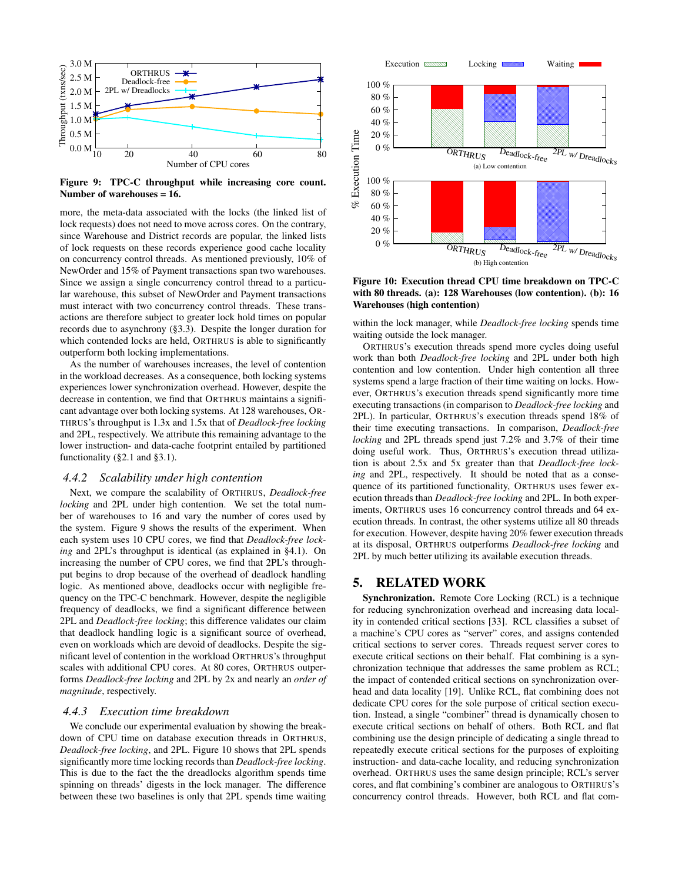

Figure 9: TPC-C throughput while increasing core count. Number of warehouses = 16.

more, the meta-data associated with the locks (the linked list of lock requests) does not need to move across cores. On the contrary, since Warehouse and District records are popular, the linked lists of lock requests on these records experience good cache locality on concurrency control threads. As mentioned previously, 10% of NewOrder and 15% of Payment transactions span two warehouses. Since we assign a single concurrency control thread to a particular warehouse, this subset of NewOrder and Payment transactions must interact with two concurrency control threads. These transactions are therefore subject to greater lock hold times on popular records due to asynchrony (§3.3). Despite the longer duration for which contended locks are held, ORTHRUS is able to significantly outperform both locking implementations.

As the number of warehouses increases, the level of contention in the workload decreases. As a consequence, both locking systems experiences lower synchronization overhead. However, despite the decrease in contention, we find that ORTHRUS maintains a significant advantage over both locking systems. At 128 warehouses, OR-THRUS's throughput is 1.3x and 1.5x that of *Deadlock-free locking* and 2PL, respectively. We attribute this remaining advantage to the lower instruction- and data-cache footprint entailed by partitioned functionality (§2.1 and §3.1).

### *4.4.2 Scalability under high contention*

Next, we compare the scalability of ORTHRUS, *Deadlock-free locking* and 2PL under high contention. We set the total number of warehouses to 16 and vary the number of cores used by the system. Figure 9 shows the results of the experiment. When each system uses 10 CPU cores, we find that *Deadlock-free locking* and 2PL's throughput is identical (as explained in §4.1). On increasing the number of CPU cores, we find that 2PL's throughput begins to drop because of the overhead of deadlock handling logic. As mentioned above, deadlocks occur with negligible frequency on the TPC-C benchmark. However, despite the negligible frequency of deadlocks, we find a significant difference between 2PL and *Deadlock-free locking*; this difference validates our claim that deadlock handling logic is a significant source of overhead, even on workloads which are devoid of deadlocks. Despite the significant level of contention in the workload ORTHRUS's throughput scales with additional CPU cores. At 80 cores, ORTHRUS outperforms *Deadlock-free locking* and 2PL by 2x and nearly an *order of magnitude*, respectively.

#### *4.4.3 Execution time breakdown*

We conclude our experimental evaluation by showing the breakdown of CPU time on database execution threads in ORTHRUS, *Deadlock-free locking*, and 2PL. Figure 10 shows that 2PL spends significantly more time locking records than *Deadlock-free locking*. This is due to the fact the the dreadlocks algorithm spends time spinning on threads' digests in the lock manager. The difference between these two baselines is only that 2PL spends time waiting



Figure 10: Execution thread CPU time breakdown on TPC-C with 80 threads. (a): 128 Warehouses (low contention). (b): 16 Warehouses (high contention)

within the lock manager, while *Deadlock-free locking* spends time waiting outside the lock manager.

ORTHRUS's execution threads spend more cycles doing useful work than both *Deadlock-free locking* and 2PL under both high contention and low contention. Under high contention all three systems spend a large fraction of their time waiting on locks. However, ORTHRUS's execution threads spend significantly more time executing transactions (in comparison to *Deadlock-free locking* and 2PL). In particular, ORTHRUS's execution threads spend 18% of their time executing transactions. In comparison, *Deadlock-free locking* and 2PL threads spend just 7.2% and 3.7% of their time doing useful work. Thus, ORTHRUS's execution thread utilization is about 2.5x and 5x greater than that *Deadlock-free locking* and 2PL, respectively. It should be noted that as a consequence of its partitioned functionality, ORTHRUS uses fewer execution threads than *Deadlock-free locking* and 2PL. In both experiments, ORTHRUS uses 16 concurrency control threads and 64 execution threads. In contrast, the other systems utilize all 80 threads for execution. However, despite having 20% fewer execution threads at its disposal, ORTHRUS outperforms *Deadlock-free locking* and 2PL by much better utilizing its available execution threads.

## 5. RELATED WORK

Synchronization. Remote Core Locking (RCL) is a technique for reducing synchronization overhead and increasing data locality in contended critical sections [33]. RCL classifies a subset of a machine's CPU cores as "server" cores, and assigns contended critical sections to server cores. Threads request server cores to execute critical sections on their behalf. Flat combining is a synchronization technique that addresses the same problem as RCL; the impact of contended critical sections on synchronization overhead and data locality [19]. Unlike RCL, flat combining does not dedicate CPU cores for the sole purpose of critical section execution. Instead, a single "combiner" thread is dynamically chosen to execute critical sections on behalf of others. Both RCL and flat combining use the design principle of dedicating a single thread to repeatedly execute critical sections for the purposes of exploiting instruction- and data-cache locality, and reducing synchronization overhead. ORTHRUS uses the same design principle; RCL's server cores, and flat combining's combiner are analogous to ORTHRUS's concurrency control threads. However, both RCL and flat com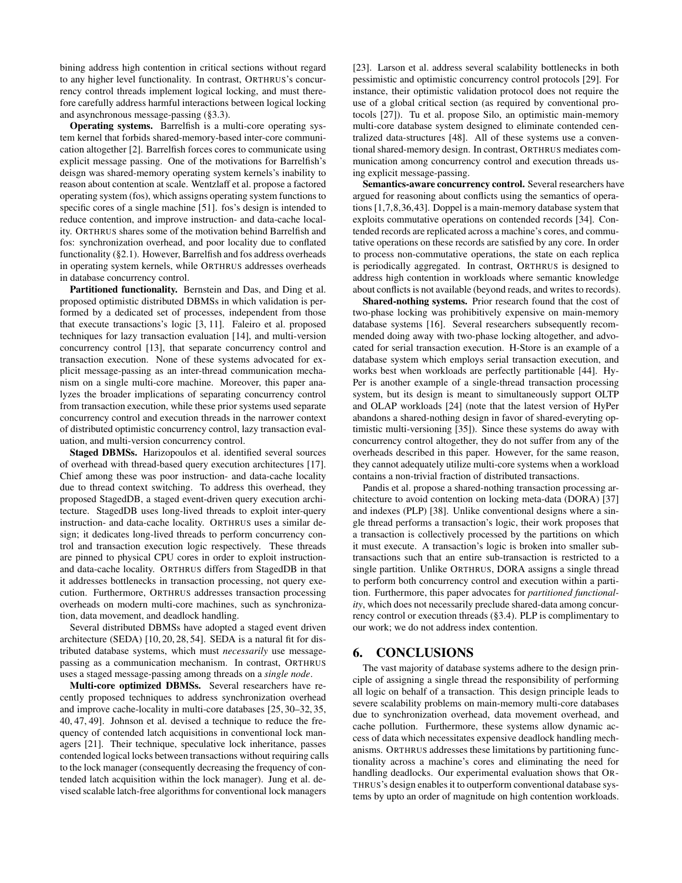bining address high contention in critical sections without regard to any higher level functionality. In contrast, ORTHRUS's concurrency control threads implement logical locking, and must therefore carefully address harmful interactions between logical locking and asynchronous message-passing (§3.3).

Operating systems. Barrelfish is a multi-core operating system kernel that forbids shared-memory-based inter-core communication altogether [2]. Barrelfish forces cores to communicate using explicit message passing. One of the motivations for Barrelfish's deisgn was shared-memory operating system kernels's inability to reason about contention at scale. Wentzlaff et al. propose a factored operating system (fos), which assigns operating system functions to specific cores of a single machine [51]. fos's design is intended to reduce contention, and improve instruction- and data-cache locality. ORTHRUS shares some of the motivation behind Barrelfish and fos: synchronization overhead, and poor locality due to conflated functionality (§2.1). However, Barrelfish and fos address overheads in operating system kernels, while ORTHRUS addresses overheads in database concurrency control.

Partitioned functionality. Bernstein and Das, and Ding et al. proposed optimistic distributed DBMSs in which validation is performed by a dedicated set of processes, independent from those that execute transactions's logic [3, 11]. Faleiro et al. proposed techniques for lazy transaction evaluation [14], and multi-version concurrency control [13], that separate concurrency control and transaction execution. None of these systems advocated for explicit message-passing as an inter-thread communication mechanism on a single multi-core machine. Moreover, this paper analyzes the broader implications of separating concurrency control from transaction execution, while these prior systems used separate concurrency control and execution threads in the narrower context of distributed optimistic concurrency control, lazy transaction evaluation, and multi-version concurrency control.

Staged DBMSs. Harizopoulos et al. identified several sources of overhead with thread-based query execution architectures [17]. Chief among these was poor instruction- and data-cache locality due to thread context switching. To address this overhead, they proposed StagedDB, a staged event-driven query execution architecture. StagedDB uses long-lived threads to exploit inter-query instruction- and data-cache locality. ORTHRUS uses a similar design; it dedicates long-lived threads to perform concurrency control and transaction execution logic respectively. These threads are pinned to physical CPU cores in order to exploit instructionand data-cache locality. ORTHRUS differs from StagedDB in that it addresses bottlenecks in transaction processing, not query execution. Furthermore, ORTHRUS addresses transaction processing overheads on modern multi-core machines, such as synchronization, data movement, and deadlock handling.

Several distributed DBMSs have adopted a staged event driven architecture (SEDA) [10, 20, 28, 54]. SEDA is a natural fit for distributed database systems, which must *necessarily* use messagepassing as a communication mechanism. In contrast, ORTHRUS uses a staged message-passing among threads on a *single node*.

Multi-core optimized DBMSs. Several researchers have recently proposed techniques to address synchronization overhead and improve cache-locality in multi-core databases [25, 30–32, 35, 40, 47, 49]. Johnson et al. devised a technique to reduce the frequency of contended latch acquisitions in conventional lock managers [21]. Their technique, speculative lock inheritance, passes contended logical locks between transactions without requiring calls to the lock manager (consequently decreasing the frequency of contended latch acquisition within the lock manager). Jung et al. devised scalable latch-free algorithms for conventional lock managers

[23]. Larson et al. address several scalability bottlenecks in both pessimistic and optimistic concurrency control protocols [29]. For instance, their optimistic validation protocol does not require the use of a global critical section (as required by conventional protocols [27]). Tu et al. propose Silo, an optimistic main-memory multi-core database system designed to eliminate contended centralized data-structures [48]. All of these systems use a conventional shared-memory design. In contrast, ORTHRUS mediates communication among concurrency control and execution threads using explicit message-passing.

Semantics-aware concurrency control. Several researchers have argued for reasoning about conflicts using the semantics of operations [1,7,8,36,43]. Doppel is a main-memory database system that exploits commutative operations on contended records [34]. Contended records are replicated across a machine's cores, and commutative operations on these records are satisfied by any core. In order to process non-commutative operations, the state on each replica is periodically aggregated. In contrast, ORTHRUS is designed to address high contention in workloads where semantic knowledge about conflicts is not available (beyond reads, and writes to records).

Shared-nothing systems. Prior research found that the cost of two-phase locking was prohibitively expensive on main-memory database systems [16]. Several researchers subsequently recommended doing away with two-phase locking altogether, and advocated for serial transaction execution. H-Store is an example of a database system which employs serial transaction execution, and works best when workloads are perfectly partitionable [44]. Hy-Per is another example of a single-thread transaction processing system, but its design is meant to simultaneously support OLTP and OLAP workloads [24] (note that the latest version of HyPer abandons a shared-nothing design in favor of shared-everyting optimistic multi-versioning [35]). Since these systems do away with concurrency control altogether, they do not suffer from any of the overheads described in this paper. However, for the same reason, they cannot adequately utilize multi-core systems when a workload contains a non-trivial fraction of distributed transactions.

Pandis et al. propose a shared-nothing transaction processing architecture to avoid contention on locking meta-data (DORA) [37] and indexes (PLP) [38]. Unlike conventional designs where a single thread performs a transaction's logic, their work proposes that a transaction is collectively processed by the partitions on which it must execute. A transaction's logic is broken into smaller subtransactions such that an entire sub-transaction is restricted to a single partition. Unlike ORTHRUS, DORA assigns a single thread to perform both concurrency control and execution within a partition. Furthermore, this paper advocates for *partitioned functionality*, which does not necessarily preclude shared-data among concurrency control or execution threads (§3.4). PLP is complimentary to our work; we do not address index contention.

# 6. CONCLUSIONS

The vast majority of database systems adhere to the design principle of assigning a single thread the responsibility of performing all logic on behalf of a transaction. This design principle leads to severe scalability problems on main-memory multi-core databases due to synchronization overhead, data movement overhead, and cache pollution. Furthermore, these systems allow dynamic access of data which necessitates expensive deadlock handling mechanisms. ORTHRUS addresses these limitations by partitioning functionality across a machine's cores and eliminating the need for handling deadlocks. Our experimental evaluation shows that OR-THRUS's design enables it to outperform conventional database systems by upto an order of magnitude on high contention workloads.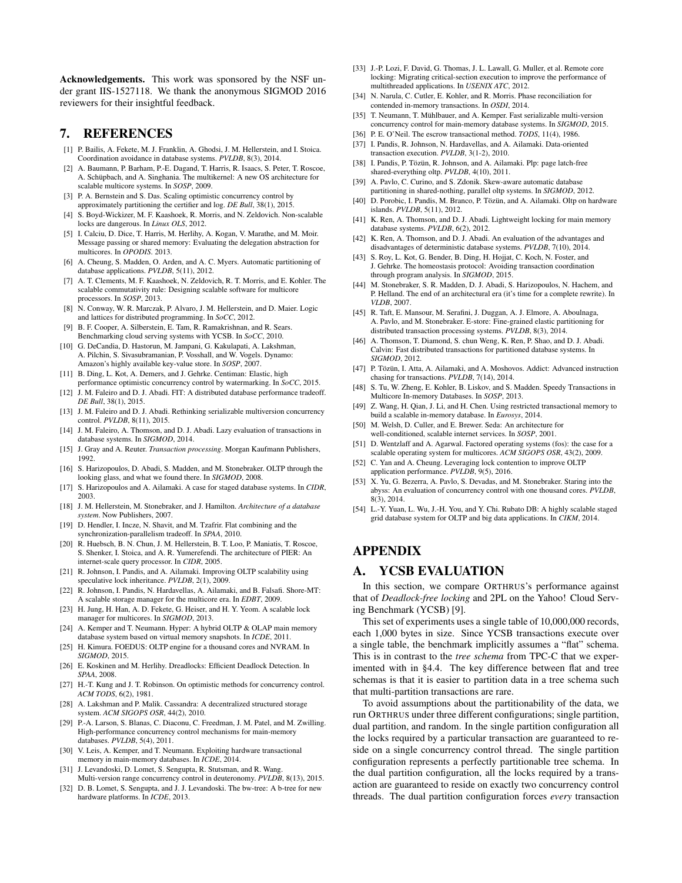Acknowledgements. This work was sponsored by the NSF under grant IIS-1527118. We thank the anonymous SIGMOD 2016 reviewers for their insightful feedback.

### 7. REFERENCES

- [1] P. Bailis, A. Fekete, M. J. Franklin, A. Ghodsi, J. M. Hellerstein, and I. Stoica. Coordination avoidance in database systems. *PVLDB*, 8(3), 2014.
- [2] A. Baumann, P. Barham, P.-E. Dagand, T. Harris, R. Isaacs, S. Peter, T. Roscoe, A. Schüpbach, and A. Singhania. The multikernel: A new OS architecture for scalable multicore systems. In *SOSP*, 2009.
- [3] P. A. Bernstein and S. Das. Scaling optimistic concurrency control by approximately partitioning the certifier and log. *DE Bull*, 38(1), 2015.
- [4] S. Boyd-Wickizer, M. F. Kaashoek, R. Morris, and N. Zeldovich. Non-scalable locks are dangerous. In *Linux OLS*, 2012.
- [5] I. Calciu, D. Dice, T. Harris, M. Herlihy, A. Kogan, V. Marathe, and M. Moir. Message passing or shared memory: Evaluating the delegation abstraction for multicores. In *OPODIS*. 2013.
- [6] A. Cheung, S. Madden, O. Arden, and A. C. Myers. Automatic partitioning of database applications. *PVLDB*, 5(11), 2012.
- [7] A. T. Clements, M. F. Kaashoek, N. Zeldovich, R. T. Morris, and E. Kohler. The scalable commutativity rule: Designing scalable software for multicore processors. In *SOSP*, 2013.
- [8] N. Conway, W. R. Marczak, P. Alvaro, J. M. Hellerstein, and D. Maier. Logic and lattices for distributed programming. In *SoCC*, 2012.
- [9] B. F. Cooper, A. Silberstein, E. Tam, R. Ramakrishnan, and R. Sears. Benchmarking cloud serving systems with YCSB. In *SoCC*, 2010.
- [10] G. DeCandia, D. Hastorun, M. Jampani, G. Kakulapati, A. Lakshman, A. Pilchin, S. Sivasubramanian, P. Vosshall, and W. Vogels. Dynamo: Amazon's highly available key-value store. In *SOSP*, 2007.
- [11] B. Ding, L. Kot, A. Demers, and J. Gehrke. Centiman: Elastic, high performance optimistic concurrency control by watermarking. In *SoCC*, 2015.
- [12] J. M. Faleiro and D. J. Abadi. FIT: A distributed database performance tradeoff. *DE Bull*, 38(1), 2015.
- [13] J. M. Faleiro and D. J. Abadi. Rethinking serializable multiversion concurrency control. *PVLDB*, 8(11), 2015.
- [14] J. M. Faleiro, A. Thomson, and D. J. Abadi. Lazy evaluation of transactions in database systems. In *SIGMOD*, 2014.
- [15] J. Gray and A. Reuter. *Transaction processing*. Morgan Kaufmann Publishers, 1992.
- [16] S. Harizopoulos, D. Abadi, S. Madden, and M. Stonebraker. OLTP through the looking glass, and what we found there. In *SIGMOD*, 2008.
- [17] S. Harizopoulos and A. Ailamaki. A case for staged database systems. In *CIDR*, 2003.
- [18] J. M. Hellerstein, M. Stonebraker, and J. Hamilton. *Architecture of a database system*. Now Publishers, 2007.
- [19] D. Hendler, I. Incze, N. Shavit, and M. Tzafrir. Flat combining and the synchronization-parallelism tradeoff. In *SPAA*, 2010.
- [20] R. Huebsch, B. N. Chun, J. M. Hellerstein, B. T. Loo, P. Maniatis, T. Roscoe, S. Shenker, I. Stoica, and A. R. Yumerefendi. The architecture of PIER: An internet-scale query processor. In *CIDR*, 2005.
- [21] R. Johnson, I. Pandis, and A. Ailamaki. Improving OLTP scalability using speculative lock inheritance. *PVLDB*, 2(1), 2009.
- [22] R. Johnson, I. Pandis, N. Hardavellas, A. Ailamaki, and B. Falsafi. Shore-MT: A scalable storage manager for the multicore era. In *EDBT*, 2009.
- [23] H. Jung, H. Han, A. D. Fekete, G. Heiser, and H. Y. Yeom. A scalable lock manager for multicores. In *SIGMOD*, 2013.
- [24] A. Kemper and T. Neumann. Hyper: A hybrid OLTP & OLAP main memory database system based on virtual memory snapshots. In *ICDE*, 2011.
- [25] H. Kimura. FOEDUS: OLTP engine for a thousand cores and NVRAM. In *SIGMOD*, 2015.
- [26] E. Koskinen and M. Herlihy. Dreadlocks: Efficient Deadlock Detection. In *SPAA*, 2008.
- [27] H.-T. Kung and J. T. Robinson. On optimistic methods for concurrency control. *ACM TODS*, 6(2), 1981.
- [28] A. Lakshman and P. Malik. Cassandra: A decentralized structured storage system. *ACM SIGOPS OSR*, 44(2), 2010.
- [29] P.-A. Larson, S. Blanas, C. Diaconu, C. Freedman, J. M. Patel, and M. Zwilling. High-performance concurrency control mechanisms for main-memory databases. *PVLDB*, 5(4), 2011.
- [30] V. Leis, A. Kemper, and T. Neumann. Exploiting hardware transactional memory in main-memory databases. In *ICDE*, 2014.
- [31] J. Levandoski, D. Lomet, S. Sengupta, R. Stutsman, and R. Wang. Multi-version range concurrency control in deuteronomy. *PVLDB*, 8(13), 2015.
- [32] D. B. Lomet, S. Sengupta, and J. J. Levandoski. The bw-tree: A b-tree for new hardware platforms. In *ICDE*, 2013.
- [33] J.-P. Lozi, F. David, G. Thomas, J. L. Lawall, G. Muller, et al. Remote core locking: Migrating critical-section execution to improve the performance of multithreaded applications. In *USENIX ATC*, 2012.
- [34] N. Narula, C. Cutler, E. Kohler, and R. Morris. Phase reconciliation for contended in-memory transactions. In *OSDI*, 2014.
- [35] T. Neumann, T. Mühlbauer, and A. Kemper. Fast serializable multi-version concurrency control for main-memory database systems. In *SIGMOD*, 2015.
- [36] P. E. O'Neil. The escrow transactional method. *TODS*, 11(4), 1986.
- [37] I. Pandis, R. Johnson, N. Hardavellas, and A. Ailamaki. Data-oriented transaction execution. *PVLDB*, 3(1-2), 2010.
- [38] I. Pandis, P. Tözün, R. Johnson, and A. Ailamaki. Plp: page latch-free shared-everything oltp. *PVLDB*, 4(10), 2011.
- [39] A. Pavlo, C. Curino, and S. Zdonik. Skew-aware automatic database partitioning in shared-nothing, parallel oltp systems. In *SIGMOD*, 2012.
- [40] D. Porobic, I. Pandis, M. Branco, P. Tözün, and A. Ailamaki. Oltp on hardware islands. *PVLDB*, 5(11), 2012.
- [41] K. Ren, A. Thomson, and D. J. Abadi. Lightweight locking for main memory database systems. *PVLDB*, 6(2), 2012.
- [42] K. Ren, A. Thomson, and D. J. Abadi. An evaluation of the advantages and disadvantages of deterministic database systems. *PVLDB*, 7(10), 2014.
- [43] S. Roy, L. Kot, G. Bender, B. Ding, H. Hojjat, C. Koch, N. Foster, and J. Gehrke. The homeostasis protocol: Avoiding transaction coordination through program analysis. In *SIGMOD*, 2015.
- [44] M. Stonebraker, S. R. Madden, D. J. Abadi, S. Harizopoulos, N. Hachem, and P. Helland. The end of an architectural era (it's time for a complete rewrite). In *VLDB*, 2007.
- [45] R. Taft, E. Mansour, M. Serafini, J. Duggan, A. J. Elmore, A. Aboulnaga, A. Pavlo, and M. Stonebraker. E-store: Fine-grained elastic partitioning for distributed transaction processing systems. *PVLDB*, 8(3), 2014.
- [46] A. Thomson, T. Diamond, S. chun Weng, K. Ren, P. Shao, and D. J. Abadi. Calvin: Fast distributed transactions for partitioned database systems. In *SIGMOD*, 2012.
- [47] P. Tözün, I. Atta, A. Ailamaki, and A. Moshovos. Addict: Advanced instruction chasing for transactions. *PVLDB*, 7(14), 2014.
- [48] S. Tu, W. Zheng, E. Kohler, B. Liskov, and S. Madden. Speedy Transactions in Multicore In-memory Databases. In *SOSP*, 2013.
- [49] Z. Wang, H. Qian, J. Li, and H. Chen. Using restricted transactional memory to build a scalable in-memory database. In *Eurosys*, 2014.
- [50] M. Welsh, D. Culler, and E. Brewer. Seda: An architecture for well-conditioned, scalable internet services. In *SOSP*, 2001.
- [51] D. Wentzlaff and A. Agarwal. Factored operating systems (fos): the case for a scalable operating system for multicores. *ACM SIGOPS OSR*, 43(2), 2009.
- [52] C. Yan and A. Cheung. Leveraging lock contention to improve OLTP application performance. *PVLDB*, 9(5), 2016.
- [53] X. Yu, G. Bezerra, A. Pavlo, S. Devadas, and M. Stonebraker. Staring into the abyss: An evaluation of concurrency control with one thousand cores. *PVLDB*, 8(3), 2014.
- [54] L.-Y. Yuan, L. Wu, J.-H. You, and Y. Chi. Rubato DB: A highly scalable staged grid database system for OLTP and big data applications. In *CIKM*, 2014.

# APPENDIX

# A. YCSB EVALUATION

In this section, we compare ORTHRUS's performance against that of *Deadlock-free locking* and 2PL on the Yahoo! Cloud Serving Benchmark (YCSB) [9].

This set of experiments uses a single table of 10,000,000 records, each 1,000 bytes in size. Since YCSB transactions execute over a single table, the benchmark implicitly assumes a "flat" schema. This is in contrast to the *tree schema* from TPC-C that we experimented with in §4.4. The key difference between flat and tree schemas is that it is easier to partition data in a tree schema such that multi-partition transactions are rare.

To avoid assumptions about the partitionability of the data, we run ORTHRUS under three different configurations; single partition, dual partition, and random. In the single partition configuration all the locks required by a particular transaction are guaranteed to reside on a single concurrency control thread. The single partition configuration represents a perfectly partitionable tree schema. In the dual partition configuration, all the locks required by a transaction are guaranteed to reside on exactly two concurrency control threads. The dual partition configuration forces *every* transaction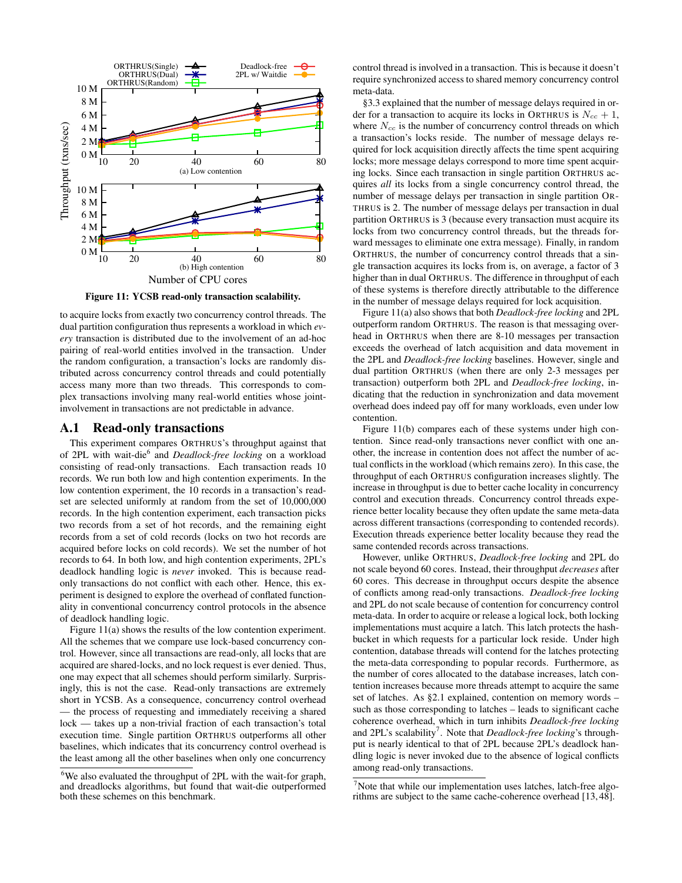

Figure 11: YCSB read-only transaction scalability.

to acquire locks from exactly two concurrency control threads. The dual partition configuration thus represents a workload in which *every* transaction is distributed due to the involvement of an ad-hoc pairing of real-world entities involved in the transaction. Under the random configuration, a transaction's locks are randomly distributed across concurrency control threads and could potentially access many more than two threads. This corresponds to complex transactions involving many real-world entities whose jointinvolvement in transactions are not predictable in advance.

#### A.1 Read-only transactions

This experiment compares ORTHRUS's throughput against that of 2PL with wait-die<sup>6</sup> and *Deadlock-free locking* on a workload consisting of read-only transactions. Each transaction reads 10 records. We run both low and high contention experiments. In the low contention experiment, the 10 records in a transaction's readset are selected uniformly at random from the set of 10,000,000 records. In the high contention experiment, each transaction picks two records from a set of hot records, and the remaining eight records from a set of cold records (locks on two hot records are acquired before locks on cold records). We set the number of hot records to 64. In both low, and high contention experiments, 2PL's deadlock handling logic is *never* invoked. This is because readonly transactions do not conflict with each other. Hence, this experiment is designed to explore the overhead of conflated functionality in conventional concurrency control protocols in the absence of deadlock handling logic.

Figure 11(a) shows the results of the low contention experiment. All the schemes that we compare use lock-based concurrency control. However, since all transactions are read-only, all locks that are acquired are shared-locks, and no lock request is ever denied. Thus, one may expect that all schemes should perform similarly. Surprisingly, this is not the case. Read-only transactions are extremely short in YCSB. As a consequence, concurrency control overhead — the process of requesting and immediately receiving a shared lock — takes up a non-trivial fraction of each transaction's total execution time. Single partition ORTHRUS outperforms all other baselines, which indicates that its concurrency control overhead is the least among all the other baselines when only one concurrency control thread is involved in a transaction. This is because it doesn't require synchronized access to shared memory concurrency control meta-data.

§3.3 explained that the number of message delays required in order for a transaction to acquire its locks in ORTHRUS is  $N_{cc} + 1$ , where  $N_{cc}$  is the number of concurrency control threads on which a transaction's locks reside. The number of message delays required for lock acquisition directly affects the time spent acquiring locks; more message delays correspond to more time spent acquiring locks. Since each transaction in single partition ORTHRUS acquires *all* its locks from a single concurrency control thread, the number of message delays per transaction in single partition OR-THRUS is 2. The number of message delays per transaction in dual partition ORTHRUS is 3 (because every transaction must acquire its locks from two concurrency control threads, but the threads forward messages to eliminate one extra message). Finally, in random ORTHRUS, the number of concurrency control threads that a single transaction acquires its locks from is, on average, a factor of 3 higher than in dual ORTHRUS. The difference in throughput of each of these systems is therefore directly attributable to the difference in the number of message delays required for lock acquisition.

Figure 11(a) also shows that both *Deadlock-free locking* and 2PL outperform random ORTHRUS. The reason is that messaging overhead in ORTHRUS when there are 8-10 messages per transaction exceeds the overhead of latch acquisition and data movement in the 2PL and *Deadlock-free locking* baselines. However, single and dual partition ORTHRUS (when there are only 2-3 messages per transaction) outperform both 2PL and *Deadlock-free locking*, indicating that the reduction in synchronization and data movement overhead does indeed pay off for many workloads, even under low contention.

Figure 11(b) compares each of these systems under high contention. Since read-only transactions never conflict with one another, the increase in contention does not affect the number of actual conflicts in the workload (which remains zero). In this case, the throughput of each ORTHRUS configuration increases slightly. The increase in throughput is due to better cache locality in concurrency control and execution threads. Concurrency control threads experience better locality because they often update the same meta-data across different transactions (corresponding to contended records). Execution threads experience better locality because they read the same contended records across transactions.

However, unlike ORTHRUS, *Deadlock-free locking* and 2PL do not scale beyond 60 cores. Instead, their throughput *decreases* after 60 cores. This decrease in throughput occurs despite the absence of conflicts among read-only transactions. *Deadlock-free locking* and 2PL do not scale because of contention for concurrency control meta-data. In order to acquire or release a logical lock, both locking implementations must acquire a latch. This latch protects the hashbucket in which requests for a particular lock reside. Under high contention, database threads will contend for the latches protecting the meta-data corresponding to popular records. Furthermore, as the number of cores allocated to the database increases, latch contention increases because more threads attempt to acquire the same set of latches. As §2.1 explained, contention on memory words – such as those corresponding to latches – leads to significant cache coherence overhead, which in turn inhibits *Deadlock-free locking* and 2PL's scalability<sup>7</sup>. Note that *Deadlock-free locking*'s throughput is nearly identical to that of 2PL because 2PL's deadlock handling logic is never invoked due to the absence of logical conflicts among read-only transactions.

 $6$ We also evaluated the throughput of 2PL with the wait-for graph, and dreadlocks algorithms, but found that wait-die outperformed both these schemes on this benchmark.

 $<sup>7</sup>$ Note that while our implementation uses latches, latch-free algo-</sup> rithms are subject to the same cache-coherence overhead [13, 48].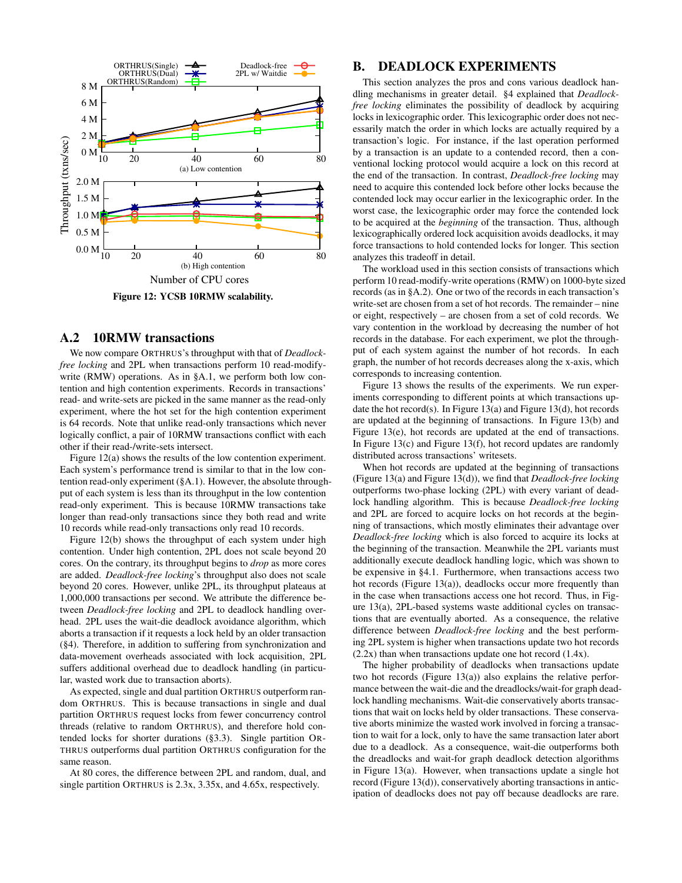

# A.2 10RMW transactions

We now compare ORTHRUS's throughput with that of *Deadlockfree locking* and 2PL when transactions perform 10 read-modifywrite (RMW) operations. As in §A.1, we perform both low contention and high contention experiments. Records in transactions' read- and write-sets are picked in the same manner as the read-only experiment, where the hot set for the high contention experiment is 64 records. Note that unlike read-only transactions which never logically conflict, a pair of 10RMW transactions conflict with each other if their read-/write-sets intersect.

Figure 12(a) shows the results of the low contention experiment. Each system's performance trend is similar to that in the low contention read-only experiment (§A.1). However, the absolute throughput of each system is less than its throughput in the low contention read-only experiment. This is because 10RMW transactions take longer than read-only transactions since they both read and write 10 records while read-only transactions only read 10 records.

Figure 12(b) shows the throughput of each system under high contention. Under high contention, 2PL does not scale beyond 20 cores. On the contrary, its throughput begins to *drop* as more cores are added. *Deadlock-free locking*'s throughput also does not scale beyond 20 cores. However, unlike 2PL, its throughput plateaus at 1,000,000 transactions per second. We attribute the difference between *Deadlock-free locking* and 2PL to deadlock handling overhead. 2PL uses the wait-die deadlock avoidance algorithm, which aborts a transaction if it requests a lock held by an older transaction (§4). Therefore, in addition to suffering from synchronization and data-movement overheads associated with lock acquisition, 2PL suffers additional overhead due to deadlock handling (in particular, wasted work due to transaction aborts).

As expected, single and dual partition ORTHRUS outperform random ORTHRUS. This is because transactions in single and dual partition ORTHRUS request locks from fewer concurrency control threads (relative to random ORTHRUS), and therefore hold contended locks for shorter durations (§3.3). Single partition OR-THRUS outperforms dual partition ORTHRUS configuration for the same reason.

At 80 cores, the difference between 2PL and random, dual, and single partition ORTHRUS is 2.3x, 3.35x, and 4.65x, respectively.

## B. DEADLOCK EXPERIMENTS

This section analyzes the pros and cons various deadlock handling mechanisms in greater detail. §4 explained that *Deadlockfree locking* eliminates the possibility of deadlock by acquiring locks in lexicographic order. This lexicographic order does not necessarily match the order in which locks are actually required by a transaction's logic. For instance, if the last operation performed by a transaction is an update to a contended record, then a conventional locking protocol would acquire a lock on this record at the end of the transaction. In contrast, *Deadlock-free locking* may need to acquire this contended lock before other locks because the contended lock may occur earlier in the lexicographic order. In the worst case, the lexicographic order may force the contended lock to be acquired at the *beginning* of the transaction. Thus, although lexicographically ordered lock acquisition avoids deadlocks, it may force transactions to hold contended locks for longer. This section analyzes this tradeoff in detail.

The workload used in this section consists of transactions which perform 10 read-modify-write operations (RMW) on 1000-byte sized records (as in §A.2). One or two of the records in each transaction's write-set are chosen from a set of hot records. The remainder – nine or eight, respectively – are chosen from a set of cold records. We vary contention in the workload by decreasing the number of hot records in the database. For each experiment, we plot the throughput of each system against the number of hot records. In each graph, the number of hot records decreases along the x-axis, which corresponds to increasing contention.

Figure 13 shows the results of the experiments. We run experiments corresponding to different points at which transactions update the hot record(s). In Figure 13(a) and Figure 13(d), hot records are updated at the beginning of transactions. In Figure 13(b) and Figure 13(e), hot records are updated at the end of transactions. In Figure 13(c) and Figure 13(f), hot record updates are randomly distributed across transactions' writesets.

When hot records are updated at the beginning of transactions (Figure 13(a) and Figure 13(d)), we find that *Deadlock-free locking* outperforms two-phase locking (2PL) with every variant of deadlock handling algorithm. This is because *Deadlock-free locking* and 2PL are forced to acquire locks on hot records at the beginning of transactions, which mostly eliminates their advantage over *Deadlock-free locking* which is also forced to acquire its locks at the beginning of the transaction. Meanwhile the 2PL variants must additionally execute deadlock handling logic, which was shown to be expensive in §4.1. Furthermore, when transactions access two hot records (Figure 13(a)), deadlocks occur more frequently than in the case when transactions access one hot record. Thus, in Figure 13(a), 2PL-based systems waste additional cycles on transactions that are eventually aborted. As a consequence, the relative difference between *Deadlock-free locking* and the best performing 2PL system is higher when transactions update two hot records (2.2x) than when transactions update one hot record (1.4x).

The higher probability of deadlocks when transactions update two hot records (Figure 13(a)) also explains the relative performance between the wait-die and the dreadlocks/wait-for graph deadlock handling mechanisms. Wait-die conservatively aborts transactions that wait on locks held by older transactions. These conservative aborts minimize the wasted work involved in forcing a transaction to wait for a lock, only to have the same transaction later abort due to a deadlock. As a consequence, wait-die outperforms both the dreadlocks and wait-for graph deadlock detection algorithms in Figure 13(a). However, when transactions update a single hot record (Figure 13(d)), conservatively aborting transactions in anticipation of deadlocks does not pay off because deadlocks are rare.